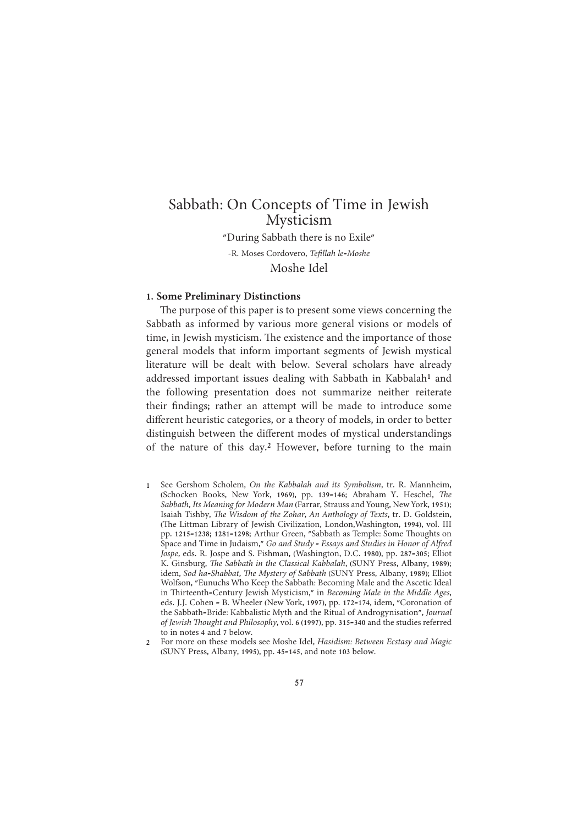"During Sabbath there is no Exile"

-R. Moses Cordovero, Tefillah le-Moshe Moshe Idel

# 1. Some Preliminary Distinctions

The purpose of this paper is to present some views concerning the Sabbath as informed by various more general visions or models of time, in Jewish mysticism. The existence and the importance of those general models that inform important segments of Jewish mystical literature will be dealt with below. Several scholars have already addressed important issues dealing with Sabbath in Kabbalah<sup>1</sup> and the following presentation does not summarize neither reiterate their findings; rather an attempt will be made to introduce some different heuristic categories, or a theory of models, in order to better distinguish between the different modes of mystical understandings of the nature of this day.<sup>2</sup> However, before turning to the main

- See Gershom Scholem, On the Kabbalah and its Symbolism, tr. R. Mannheim,  $1<sup>1</sup>$ (Schocken Books, New York, 1969), pp. 139-146; Abraham Y. Heschel, The Sabbath, Its Meaning for Modern Man (Farrar, Strauss and Young, New York, 1951); Isaiah Tishby, The Wisdom of the Zohar, An Anthology of Texts, tr. D. Goldstein, (The Littman Library of Jewish Civilization, London, Washington, 1994), vol. III pp. 1215-1238; 1281-1298; Arthur Green, "Sabbath as Temple: Some Thoughts on Space and Time in Judaism," Go and Study - Essays and Studies in Honor of Alfred Jospe, eds. R. Jospe and S. Fishman, (Washington, D.C. 1980), pp. 287-305; Elliot K. Ginsburg, The Sabbath in the Classical Kabbalah, (SUNY Press, Albany, 1989); idem, Sod ha-Shabbat, The Mystery of Sabbath (SUNY Press, Albany, 1989); Elliot Wolfson, "Eunuchs Who Keep the Sabbath: Becoming Male and the Ascetic Ideal in Thirteenth-Century Jewish Mysticism," in Becoming Male in the Middle Ages, eds. J.J. Cohen - B. Wheeler (New York, 1997), pp. 172-174, idem, "Coronation of the Sabbath-Bride: Kabbalistic Myth and the Ritual of Androgynisation", Journal of Jewish Thought and Philosophy, vol. 6 (1997), pp. 315-340 and the studies referred to in notes 4 and 7 below.
- For more on these models see Moshe Idel, Hasidism: Between Ecstasy and Magic (SUNY Press, Albany, 1995), pp. 45-145, and note 103 below.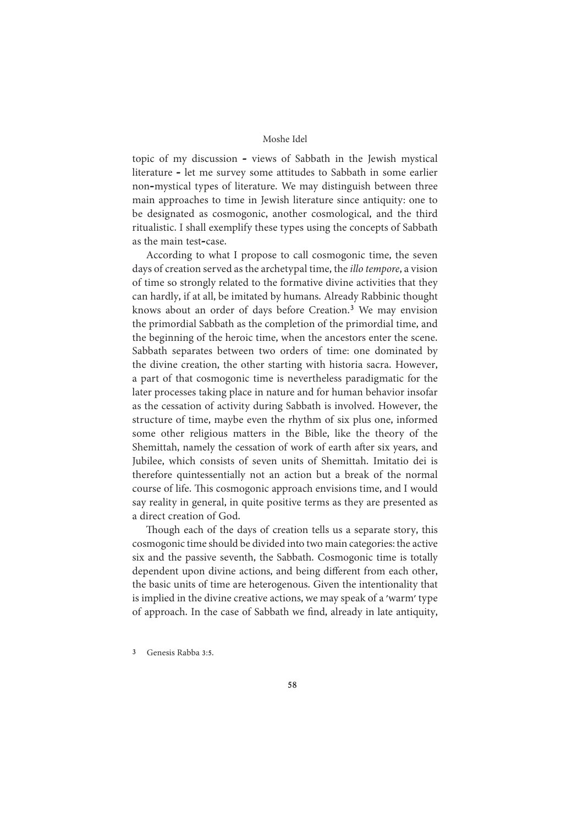topic of my discussion - views of Sabbath in the Jewish mystical literature - let me survey some attitudes to Sabbath in some earlier non-mystical types of literature. We may distinguish between three main approaches to time in Jewish literature since antiquity: one to be designated as cosmogonic, another cosmological, and the third ritualistic. I shall exemplify these types using the concepts of Sabbath as the main test-case.

According to what I propose to call cosmogonic time, the seven days of creation served as the archetypal time, the *illo tempore*, a vision of time so strongly related to the formative divine activities that they can hardly, if at all, be imitated by humans. Already Rabbinic thought knows about an order of days before Creation.<sup>3</sup> We may envision the primordial Sabbath as the completion of the primordial time, and the beginning of the heroic time, when the ancestors enter the scene. Sabbath separates between two orders of time: one dominated by the divine creation, the other starting with historia sacra. However, a part of that cosmogonic time is nevertheless paradigmatic for the later processes taking place in nature and for human behavior insofar as the cessation of activity during Sabbath is involved. However, the structure of time, maybe even the rhythm of six plus one, informed some other religious matters in the Bible, like the theory of the Shemittah, namely the cessation of work of earth after six years, and Jubilee, which consists of seven units of Shemittah. Imitatio dei is therefore quintessentially not an action but a break of the normal course of life. This cosmogonic approach envisions time, and I would say reality in general, in quite positive terms as they are presented as a direct creation of God.

Though each of the days of creation tells us a separate story, this cosmogonic time should be divided into two main categories: the active six and the passive seventh, the Sabbath. Cosmogonic time is totally dependent upon divine actions, and being different from each other, the basic units of time are heterogenous. Given the intentionality that is implied in the divine creative actions, we may speak of a 'warm' type of approach. In the case of Sabbath we find, already in late antiquity,

 $\overline{3}$ Genesis Rabba 3:5.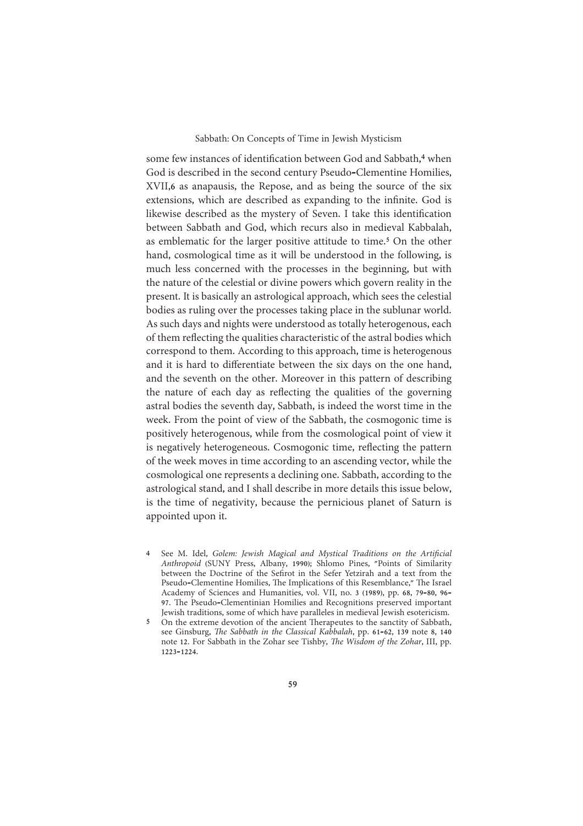some few instances of identification between God and Sabbath,<sup>4</sup> when God is described in the second century Pseudo-Clementine Homilies, XVII,6 as anapausis, the Repose, and as being the source of the six extensions, which are described as expanding to the infinite. God is likewise described as the mystery of Seven. I take this identification between Sabbath and God, which recurs also in medieval Kabbalah, as emblematic for the larger positive attitude to time.<sup>5</sup> On the other hand, cosmological time as it will be understood in the following, is much less concerned with the processes in the beginning, but with the nature of the celestial or divine powers which govern reality in the present. It is basically an astrological approach, which sees the celestial bodies as ruling over the processes taking place in the sublunar world. As such days and nights were understood as totally heterogenous, each of them reflecting the qualities characteristic of the astral bodies which correspond to them. According to this approach, time is heterogenous and it is hard to differentiate between the six days on the one hand, and the seventh on the other. Moreover in this pattern of describing the nature of each day as reflecting the qualities of the governing astral bodies the seventh day, Sabbath, is indeed the worst time in the week. From the point of view of the Sabbath, the cosmogonic time is positively heterogenous, while from the cosmological point of view it is negatively heterogeneous. Cosmogonic time, reflecting the pattern of the week moves in time according to an ascending vector, while the cosmological one represents a declining one. Sabbath, according to the astrological stand, and I shall describe in more details this issue below, is the time of negativity, because the pernicious planet of Saturn is appointed upon it.

See M. Idel, Golem: Jewish Magical and Mystical Traditions on the Artificial  $\overline{4}$ Anthropoid (SUNY Press, Albany, 1990); Shlomo Pines, "Points of Similarity between the Doctrine of the Sefirot in the Sefer Yetzirah and a text from the Pseudo-Clementine Homilies, The Implications of this Resemblance," The Israel Academy of Sciences and Humanities, vol. VII, no. 3 (1989), pp. 68, 79-80, 96-97. The Pseudo-Clementinian Homilies and Recognitions preserved important Jewish traditions, some of which have paralleles in medieval Jewish esotericism.

5 On the extreme devotion of the ancient Therapeutes to the sanctity of Sabbath, see Ginsburg, The Sabbath in the Classical Kabbalah, pp. 61-62, 139 note 8, 140 note 12. For Sabbath in the Zohar see Tishby. The Wisdom of the Zohar, III, pp.  $1223 - 1224$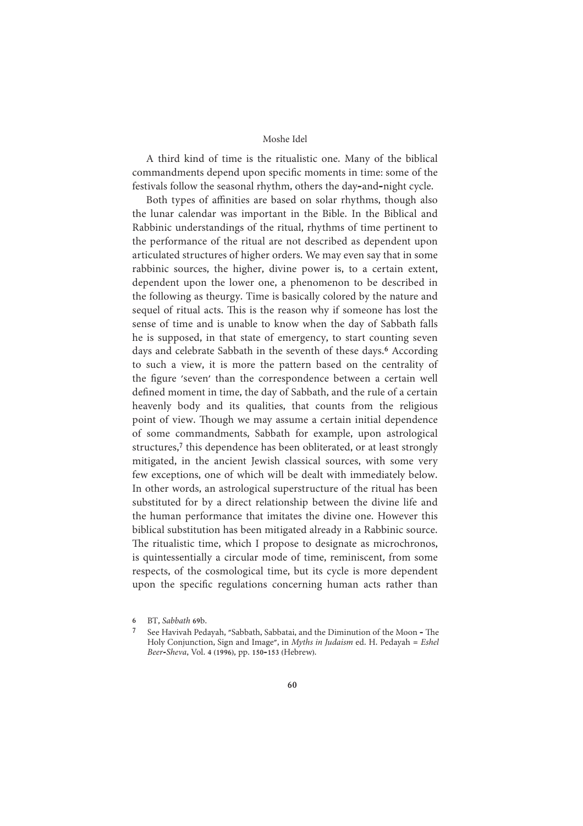A third kind of time is the ritualistic one. Many of the biblical commandments depend upon specific moments in time: some of the festivals follow the seasonal rhythm, others the day-and-night cycle.

Both types of affinities are based on solar rhythms, though also the lunar calendar was important in the Bible. In the Biblical and Rabbinic understandings of the ritual, rhythms of time pertinent to the performance of the ritual are not described as dependent upon articulated structures of higher orders. We may even say that in some rabbinic sources, the higher, divine power is, to a certain extent, dependent upon the lower one, a phenomenon to be described in the following as theurgy. Time is basically colored by the nature and sequel of ritual acts. This is the reason why if someone has lost the sense of time and is unable to know when the day of Sabbath falls he is supposed, in that state of emergency, to start counting seven days and celebrate Sabbath in the seventh of these days.<sup>6</sup> According to such a view, it is more the pattern based on the centrality of the figure 'seven' than the correspondence between a certain well defined moment in time, the day of Sabbath, and the rule of a certain heavenly body and its qualities, that counts from the religious point of view. Though we may assume a certain initial dependence of some commandments, Sabbath for example, upon astrological structures,<sup>7</sup> this dependence has been obliterated, or at least strongly mitigated, in the ancient Jewish classical sources, with some very few exceptions, one of which will be dealt with immediately below. In other words, an astrological superstructure of the ritual has been substituted for by a direct relationship between the divine life and the human performance that imitates the divine one. However this biblical substitution has been mitigated already in a Rabbinic source. The ritualistic time, which I propose to designate as microchronos, is quintessentially a circular mode of time, reminiscent, from some respects, of the cosmological time, but its cycle is more dependent upon the specific regulations concerning human acts rather than

BT, Sabbath 69b.  $\epsilon$ 

See Havivah Pedayah, "Sabbath, Sabbatai, and the Diminution of the Moon - The Holy Conjunction, Sign and Image", in Myths in Judaism ed. H. Pedayah = Eshel Beer-Sheva, Vol. 4 (1996), pp. 150-153 (Hebrew).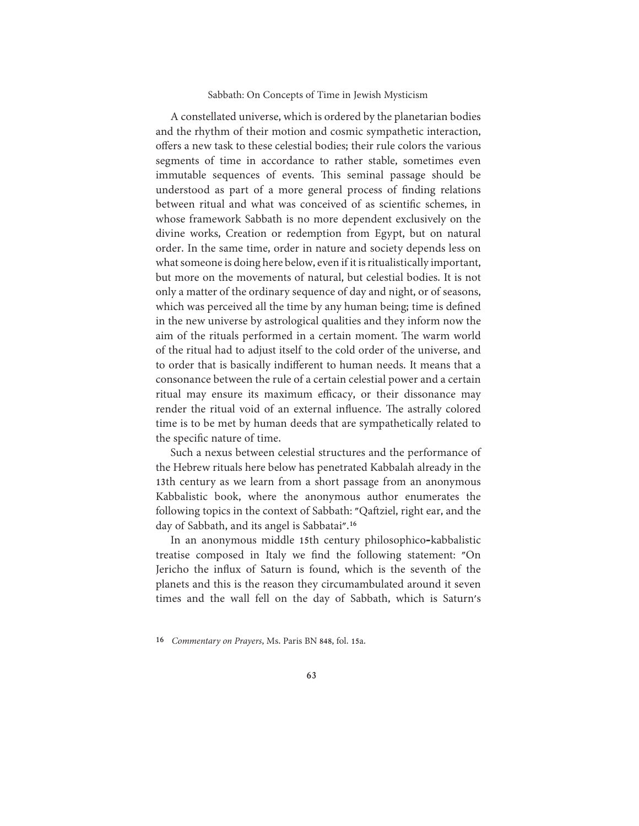A constellated universe, which is ordered by the planetarian bodies and the rhythm of their motion and cosmic sympathetic interaction, offers a new task to these celestial bodies; their rule colors the various segments of time in accordance to rather stable, sometimes even immutable sequences of events. This seminal passage should be understood as part of a more general process of finding relations between ritual and what was conceived of as scientific schemes, in whose framework Sabbath is no more dependent exclusively on the divine works, Creation or redemption from Egypt, but on natural order. In the same time, order in nature and society depends less on what someone is doing here below, even if it is ritualistically important, but more on the movements of natural, but celestial bodies. It is not only a matter of the ordinary sequence of day and night, or of seasons, which was perceived all the time by any human being; time is defined in the new universe by astrological qualities and they inform now the aim of the rituals performed in a certain moment. The warm world of the ritual had to adjust itself to the cold order of the universe, and to order that is basically indifferent to human needs. It means that a consonance between the rule of a certain celestial power and a certain ritual may ensure its maximum efficacy, or their dissonance may render the ritual void of an external influence. The astrally colored time is to be met by human deeds that are sympathetically related to the specific nature of time.

Such a nexus between celestial structures and the performance of the Hebrew rituals here below has penetrated Kabbalah already in the 13th century as we learn from a short passage from an anonymous Kabbalistic book, where the anonymous author enumerates the following topics in the context of Sabbath: "Qaftziel, right ear, and the day of Sabbath, and its angel is Sabbatai".<sup>16</sup>

In an anonymous middle 15th century philosophico-kabbalistic treatise composed in Italy we find the following statement: "On Jericho the influx of Saturn is found, which is the seventh of the planets and this is the reason they circumambulated around it seven times and the wall fell on the day of Sabbath, which is Saturn's

<sup>16</sup> Commentary on Prayers, Ms. Paris BN 848, fol. 15a.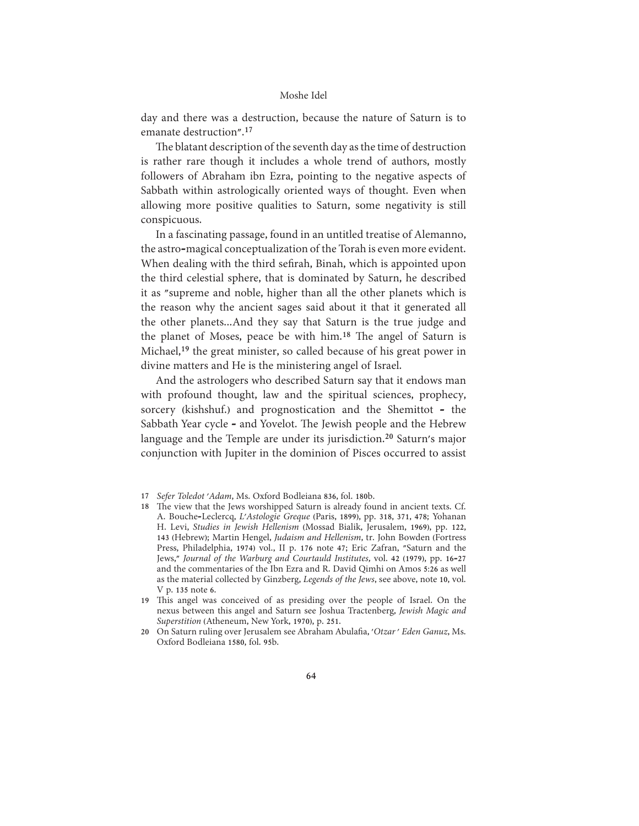day and there was a destruction, because the nature of Saturn is to emanate destruction".<sup>17</sup>

The blatant description of the seventh day as the time of destruction is rather rare though it includes a whole trend of authors, mostly followers of Abraham ibn Ezra, pointing to the negative aspects of Sabbath within astrologically oriented ways of thought. Even when allowing more positive qualities to Saturn, some negativity is still conspicuous.

In a fascinating passage, found in an untitled treatise of Alemanno, the astro-magical conceptualization of the Torah is even more evident. When dealing with the third sefirah, Binah, which is appointed upon the third celestial sphere, that is dominated by Saturn, he described it as "supreme and noble, higher than all the other planets which is the reason why the ancient sages said about it that it generated all the other planets...And they say that Saturn is the true judge and the planet of Moses, peace be with him.<sup>18</sup> The angel of Saturn is Michael,<sup>19</sup> the great minister, so called because of his great power in divine matters and He is the ministering angel of Israel.

And the astrologers who described Saturn say that it endows man with profound thought, law and the spiritual sciences, prophecy, sorcery (kishshuf.) and prognostication and the Shemittot - the Sabbath Year cycle - and Yovelot. The Jewish people and the Hebrew language and the Temple are under its jurisdiction.<sup>20</sup> Saturn's major conjunction with Jupiter in the dominion of Pisces occurred to assist

- 17 Sefer Toledot 'Adam, Ms. Oxford Bodleiana 836, fol. 180b.
- 18 The view that the Jews worshipped Saturn is already found in ancient texts. Cf. A. Bouche-Leclercq, L'Astologie Greque (Paris, 1899), pp. 318, 371, 478; Yohanan H. Levi, Studies in Jewish Hellenism (Mossad Bialik, Jerusalem, 1969), pp. 122, 143 (Hebrew); Martin Hengel, Judaism and Hellenism, tr. John Bowden (Fortress Press, Philadelphia, 1974) vol., II p. 176 note 47; Eric Zafran, "Saturn and the Jews," Journal of the Warburg and Courtauld Institutes, vol. 42 (1979), pp. 16-27 and the commentaries of the Ibn Ezra and R. David Qimhi on Amos 5:26 as well as the material collected by Ginzberg, Legends of the Jews, see above, note 10, vol. V p. 135 note 6.

19 This angel was conceived of as presiding over the people of Israel. On the nexus between this angel and Saturn see Joshua Tractenberg, Jewish Magic and Superstition (Atheneum, New York, 1970), p. 251.

20 On Saturn ruling over Jerusalem see Abraham Abulafia, 'Otzar' Eden Ganuz, Ms. Oxford Bodleiana 1580, fol. 95b.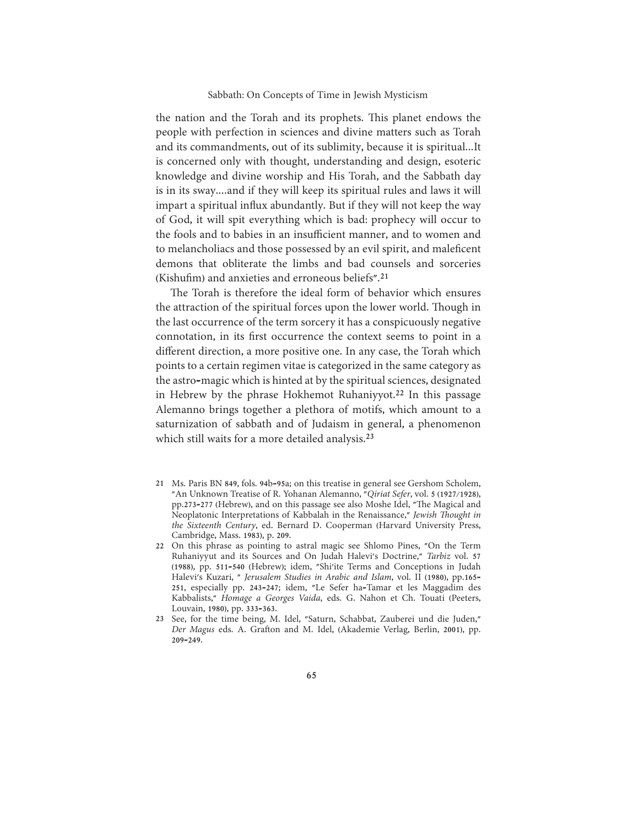the nation and the Torah and its prophets. This planet endows the people with perfection in sciences and divine matters such as Torah and its commandments, out of its sublimity, because it is spiritual...It is concerned only with thought, understanding and design, esoteric knowledge and divine worship and His Torah, and the Sabbath day is in its sway....and if they will keep its spiritual rules and laws it will impart a spiritual influx abundantly. But if they will not keep the way of God, it will spit everything which is bad: prophecy will occur to the fools and to babies in an insufficient manner, and to women and to melancholiacs and those possessed by an evil spirit, and maleficent demons that obliterate the limbs and bad counsels and sorceries (Kishufim) and anxieties and erroneous beliefs".<sup>21</sup>

The Torah is therefore the ideal form of behavior which ensures the attraction of the spiritual forces upon the lower world. Though in the last occurrence of the term sorcery it has a conspicuously negative connotation, in its first occurrence the context seems to point in a different direction, a more positive one. In any case, the Torah which points to a certain regimen vitae is categorized in the same category as the astro-magic which is hinted at by the spiritual sciences, designated in Hebrew by the phrase Hokhemot Ruhaniyyot.<sup>22</sup> In this passage Alemanno brings together a plethora of motifs, which amount to a saturnization of sabbath and of Judaism in general, a phenomenon which still waits for a more detailed analysis.<sup>23</sup>

- 21 Ms. Paris BN 849, fols. 94b-95a; on this treatise in general see Gershom Scholem, "An Unknown Treatise of R. Yohanan Alemanno, "Qiriat Sefer, vol. 5 (1927/1928), pp.273-277 (Hebrew), and on this passage see also Moshe Idel, "The Magical and Neoplatonic Interpretations of Kabbalah in the Renaissance," Jewish Thought in the Sixteenth Century, ed. Bernard D. Cooperman (Harvard University Press, Cambridge, Mass. 1983), p. 209.
- 22 On this phrase as pointing to astral magic see Shlomo Pines, "On the Term Ruhaniyyut and its Sources and On Judah Halevi's Doctrine," Tarbiz vol. 57 (1988), pp. 511-540 (Hebrew); idem, "Shi'ite Terms and Conceptions in Judah Halevi's Kuzari, " Jerusalem Studies in Arabic and Islam, vol. II (1980), pp.165-251, especially pp. 243-247; idem, "Le Sefer ha-Tamar et les Maggadim des Kabbalists," Homage a Georges Vaida, eds. G. Nahon et Ch. Touati (Peeters, Louvain, 1980), pp. 333-363.
- 23 See, for the time being, M. Idel, "Saturn, Schabbat, Zauberei und die Juden," Der Magus eds. A. Grafton and M. Idel, (Akademie Verlag, Berlin, 2001), pp.  $209 - 249.$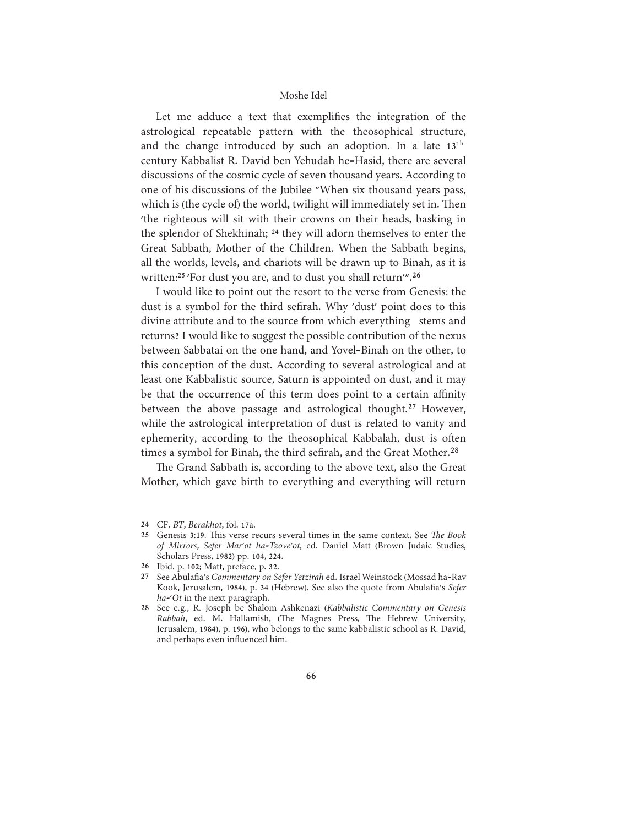Let me adduce a text that exemplifies the integration of the astrological repeatable pattern with the theosophical structure, and the change introduced by such an adoption. In a late 13<sup>th</sup> century Kabbalist R. David ben Yehudah he-Hasid, there are several discussions of the cosmic cycle of seven thousand years. According to one of his discussions of the Jubilee "When six thousand years pass, which is (the cycle of) the world, twilight will immediately set in. Then 'the righteous will sit with their crowns on their heads, basking in the splendor of Shekhinah; <sup>24</sup> they will adorn themselves to enter the Great Sabbath, Mother of the Children. When the Sabbath begins, all the worlds, levels, and chariots will be drawn up to Binah, as it is written:<sup>25</sup> 'For dust you are, and to dust you shall return'".<sup>26</sup>

I would like to point out the resort to the verse from Genesis: the dust is a symbol for the third sefirah. Why 'dust' point does to this divine attribute and to the source from which everything stems and returns? I would like to suggest the possible contribution of the nexus between Sabbatai on the one hand, and Yovel-Binah on the other, to this conception of the dust. According to several astrological and at least one Kabbalistic source, Saturn is appointed on dust, and it may be that the occurrence of this term does point to a certain affinity between the above passage and astrological thought.<sup>27</sup> However, while the astrological interpretation of dust is related to vanity and ephemerity, according to the theosophical Kabbalah, dust is often times a symbol for Binah, the third sefirah, and the Great Mother.<sup>28</sup>

The Grand Sabbath is, according to the above text, also the Great Mother, which gave birth to everything and everything will return

<sup>24</sup> CF. BT, Berakhot, fol. 17a.

<sup>25</sup> Genesis 3:19. This verse recurs several times in the same context. See The Book of Mirrors, Sefer Mar'ot ha-Tzove'ot, ed. Daniel Matt (Brown Judaic Studies, Scholars Press, 1982) pp. 104, 224.

<sup>26</sup> Ibid. p. 102; Matt, preface, p. 32.

<sup>27</sup> See Abulafia's Commentary on Sefer Yetzirah ed. Israel Weinstock (Mossad ha-Rav Kook, Jerusalem, 1984), p. 34 (Hebrew). See also the quote from Abulafia's Sefer ha-'Ot in the next paragraph.

<sup>28</sup> See e.g., R. Joseph be Shalom Ashkenazi (Kabbalistic Commentary on Genesis Rabbah, ed. M. Hallamish, (The Magnes Press, The Hebrew University, Jerusalem, 1984), p. 196), who belongs to the same kabbalistic school as R. David, and perhaps even influenced him.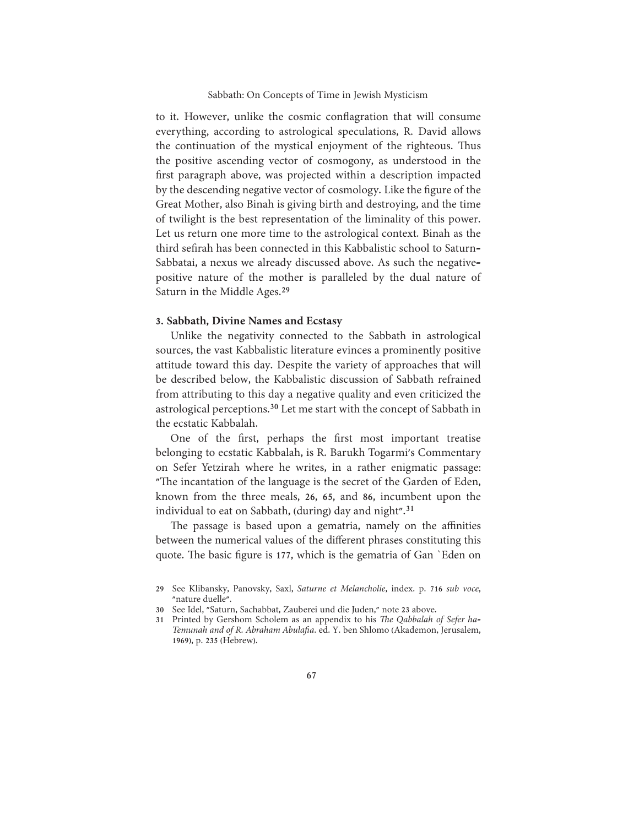to it. However, unlike the cosmic conflagration that will consume everything, according to astrological speculations, R. David allows the continuation of the mystical enjoyment of the righteous. Thus the positive ascending vector of cosmogony, as understood in the first paragraph above, was projected within a description impacted by the descending negative vector of cosmology. Like the figure of the Great Mother, also Binah is giving birth and destroying, and the time of twilight is the best representation of the liminality of this power. Let us return one more time to the astrological context. Binah as the third sefirah has been connected in this Kabbalistic school to Saturn-Sabbatai, a nexus we already discussed above. As such the negativepositive nature of the mother is paralleled by the dual nature of Saturn in the Middle Ages.<sup>29</sup>

# 3. Sabbath, Divine Names and Ecstasy

Unlike the negativity connected to the Sabbath in astrological sources, the vast Kabbalistic literature evinces a prominently positive attitude toward this day. Despite the variety of approaches that will be described below, the Kabbalistic discussion of Sabbath refrained from attributing to this day a negative quality and even criticized the astrological perceptions.<sup>30</sup> Let me start with the concept of Sabbath in the ecstatic Kabbalah.

One of the first, perhaps the first most important treatise belonging to ecstatic Kabbalah, is R. Barukh Togarmi's Commentary on Sefer Yetzirah where he writes, in a rather enigmatic passage: "The incantation of the language is the secret of the Garden of Eden, known from the three meals, 26, 65, and 86, incumbent upon the individual to eat on Sabbath, (during) day and night".<sup>31</sup>

The passage is based upon a gematria, namely on the affinities between the numerical values of the different phrases constituting this quote. The basic figure is 177, which is the gematria of Gan `Eden on

<sup>29</sup> See Klibansky, Panovsky, Saxl, Saturne et Melancholie, index. p. 716 sub voce, "nature duelle".

<sup>30</sup> See Idel, "Saturn, Sachabbat, Zauberei und die Juden," note 23 above.

<sup>31</sup> Printed by Gershom Scholem as an appendix to his The Qabbalah of Sefer ha-Temunah and of R. Abraham Abulafia. ed. Y. ben Shlomo (Akademon, Jerusalem, 1969), p. 235 (Hebrew).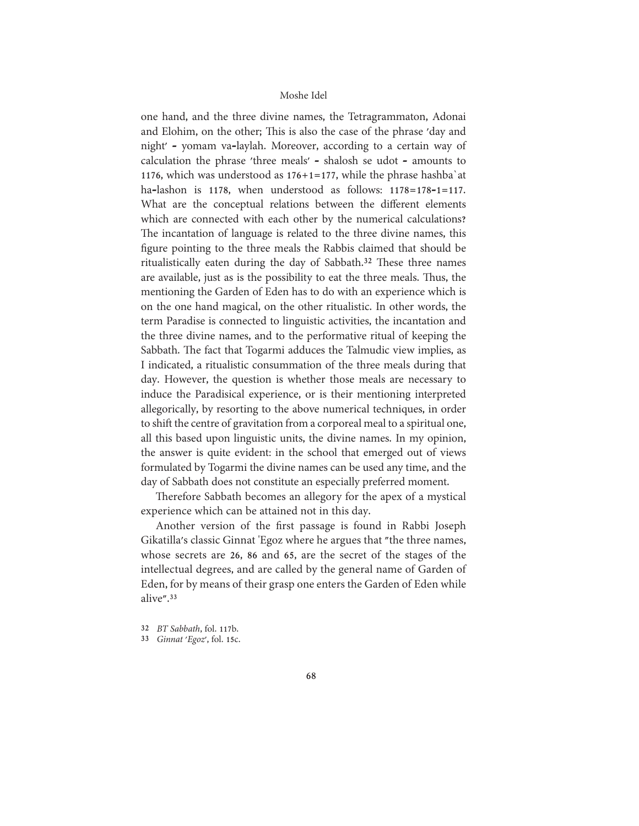one hand, and the three divine names, the Tetragrammaton, Adonai and Elohim, on the other; This is also the case of the phrase 'day and night' - yomam va-laylah. Moreover, according to a certain way of calculation the phrase 'three meals' - shalosh se udot - amounts to 1176, which was understood as  $176+1=177$ , while the phrase hashba' at ha-lashon is 1178, when understood as follows: 1178=178-1=117. What are the conceptual relations between the different elements which are connected with each other by the numerical calculations? The incantation of language is related to the three divine names, this figure pointing to the three meals the Rabbis claimed that should be ritualistically eaten during the day of Sabbath.<sup>32</sup> These three names are available, just as is the possibility to eat the three meals. Thus, the mentioning the Garden of Eden has to do with an experience which is on the one hand magical, on the other ritualistic. In other words, the term Paradise is connected to linguistic activities, the incantation and the three divine names, and to the performative ritual of keeping the Sabbath. The fact that Togarmi adduces the Talmudic view implies, as I indicated, a ritualistic consummation of the three meals during that day. However, the question is whether those meals are necessary to induce the Paradisical experience, or is their mentioning interpreted allegorically, by resorting to the above numerical techniques, in order to shift the centre of gravitation from a corporeal meal to a spiritual one, all this based upon linguistic units, the divine names. In my opinion, the answer is quite evident: in the school that emerged out of views formulated by Togarmi the divine names can be used any time, and the day of Sabbath does not constitute an especially preferred moment.

Therefore Sabbath becomes an allegory for the apex of a mystical experience which can be attained not in this day.

Another version of the first passage is found in Rabbi Joseph Gikatilla's classic Ginnat 'Egoz where he argues that "the three names, whose secrets are 26, 86 and 65, are the secret of the stages of the intellectual degrees, and are called by the general name of Garden of Eden, for by means of their grasp one enters the Garden of Eden while alive".<sup>33</sup>

<sup>32</sup> BT Sabbath, fol. 117b.

<sup>33</sup> Ginnat 'Egoz', fol. 15c.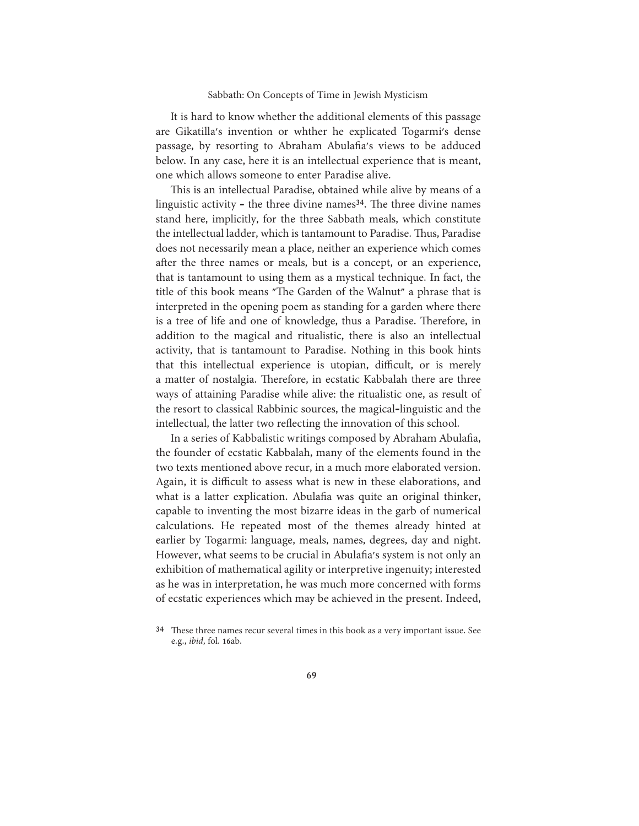It is hard to know whether the additional elements of this passage are Gikatilla's invention or whther he explicated Togarmi's dense passage, by resorting to Abraham Abulafia's views to be adduced below. In any case, here it is an intellectual experience that is meant, one which allows someone to enter Paradise alive.

This is an intellectual Paradise, obtained while alive by means of a linguistic activity  $\text{-}$  the three divine names<sup>34</sup>. The three divine names stand here, implicitly, for the three Sabbath meals, which constitute the intellectual ladder, which is tantamount to Paradise. Thus, Paradise does not necessarily mean a place, neither an experience which comes after the three names or meals, but is a concept, or an experience, that is tantamount to using them as a mystical technique. In fact, the title of this book means "The Garden of the Walnut" a phrase that is interpreted in the opening poem as standing for a garden where there is a tree of life and one of knowledge, thus a Paradise. Therefore, in addition to the magical and ritualistic, there is also an intellectual activity, that is tantamount to Paradise. Nothing in this book hints that this intellectual experience is utopian, difficult, or is merely a matter of nostalgia. Therefore, in ecstatic Kabbalah there are three ways of attaining Paradise while alive: the ritualistic one, as result of the resort to classical Rabbinic sources, the magical-linguistic and the intellectual, the latter two reflecting the innovation of this school.

In a series of Kabbalistic writings composed by Abraham Abulafia, the founder of ecstatic Kabbalah, many of the elements found in the two texts mentioned above recur, in a much more elaborated version. Again, it is difficult to assess what is new in these elaborations, and what is a latter explication. Abulafia was quite an original thinker, capable to inventing the most bizarre ideas in the garb of numerical calculations. He repeated most of the themes already hinted at earlier by Togarmi: language, meals, names, degrees, day and night. However, what seems to be crucial in Abulafia's system is not only an exhibition of mathematical agility or interpretive ingenuity; interested as he was in interpretation, he was much more concerned with forms of ecstatic experiences which may be achieved in the present. Indeed,

<sup>34</sup> These three names recur several times in this book as a very important issue. See e.g., *ibid*, fol. 16ab.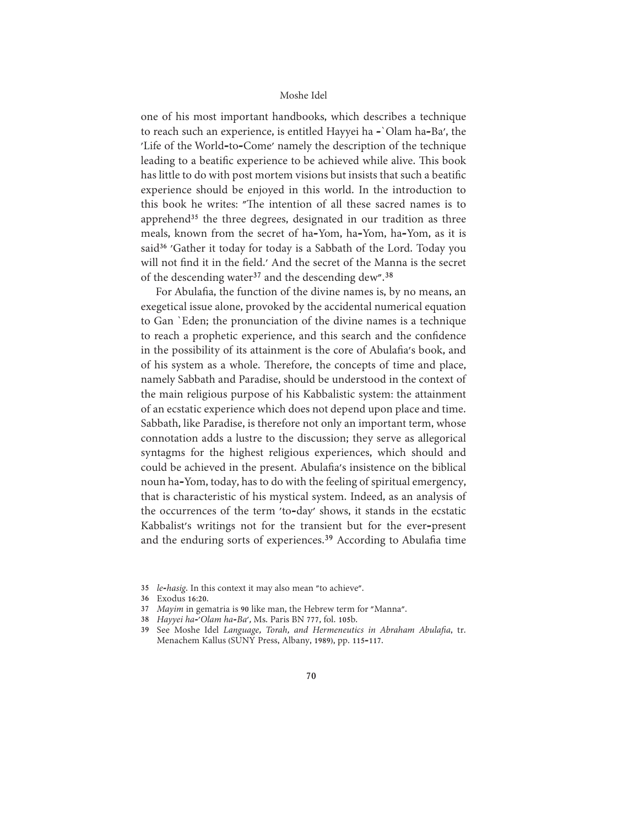one of his most important handbooks, which describes a technique to reach such an experience, is entitled Hayyei ha -'Olam ha-Ba', the 'Life of the World-to-Come' namely the description of the technique leading to a beatific experience to be achieved while alive. This book has little to do with post mortem visions but insists that such a beatific experience should be enjoyed in this world. In the introduction to this book he writes: "The intention of all these sacred names is to apprehend<sup>35</sup> the three degrees, designated in our tradition as three meals, known from the secret of ha-Yom, ha-Yom, ha-Yom, as it is said<sup>36</sup> 'Gather it today for today is a Sabbath of the Lord. Today you will not find it in the field.' And the secret of the Manna is the secret of the descending water<sup>37</sup> and the descending dew".<sup>38</sup>

For Abulafia, the function of the divine names is, by no means, an exegetical issue alone, provoked by the accidental numerical equation to Gan 'Eden; the pronunciation of the divine names is a technique to reach a prophetic experience, and this search and the confidence in the possibility of its attainment is the core of Abulafia's book, and of his system as a whole. Therefore, the concepts of time and place, namely Sabbath and Paradise, should be understood in the context of the main religious purpose of his Kabbalistic system: the attainment of an ecstatic experience which does not depend upon place and time. Sabbath, like Paradise, is therefore not only an important term, whose connotation adds a lustre to the discussion; they serve as allegorical syntagms for the highest religious experiences, which should and could be achieved in the present. Abulafia's insistence on the biblical noun ha-Yom, today, has to do with the feeling of spiritual emergency, that is characteristic of his mystical system. Indeed, as an analysis of the occurrences of the term 'to-day' shows, it stands in the ecstatic Kabbalist's writings not for the transient but for the ever-present and the enduring sorts of experiences.<sup>39</sup> According to Abulafia time

36 Exodus 16:20.

38 Hayyei ha-'Olam ha-Ba', Ms. Paris BN 777, fol. 105b.

<sup>35</sup> le-hasig. In this context it may also mean "to achieve".

<sup>37</sup> Mayim in gematria is 90 like man, the Hebrew term for "Manna".

<sup>39</sup> See Moshe Idel Language, Torah, and Hermeneutics in Abraham Abulafia, tr. Menachem Kallus (SUNY Press, Albany, 1989), pp. 115-117.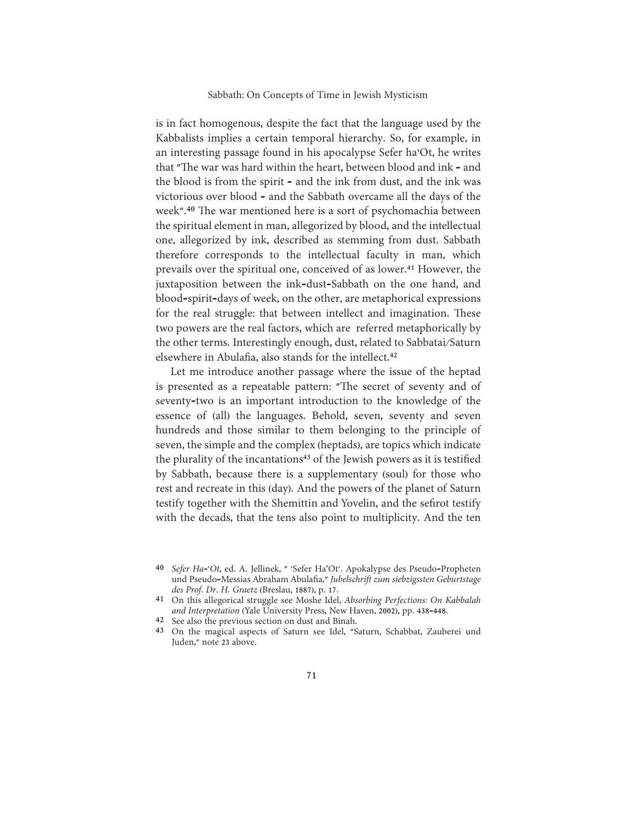is in fact homogenous, despite the fact that the language used by the Kabbalists implies a certain temporal hierarchy. So, for example, in an interesting passage found in his apocalypse Sefer ha'Ot, he writes that "The war was hard within the heart, between blood and ink - and the blood is from the spirit - and the ink from dust, and the ink was victorious over blood - and the Sabbath overcame all the days of the week".<sup>40</sup> The war mentioned here is a sort of psychomachia between the spiritual element in man, allegorized by blood, and the intellectual one, allegorized by ink, described as stemming from dust. Sabbath therefore corresponds to the intellectual faculty in man, which prevails over the spiritual one, conceived of as lower.<sup>41</sup> However, the juxtaposition between the ink-dust-Sabbath on the one hand, and blood-spirit-days of week, on the other, are metaphorical expressions for the real struggle: that between intellect and imagination. These two powers are the real factors, which are referred metaphorically by the other terms. Interestingly enough, dust, related to Sabbatai/Saturn elsewhere in Abulafia, also stands for the intellect.<sup>42</sup>

Let me introduce another passage where the issue of the heptad is presented as a repeatable pattern: "The secret of seventy and of seventy-two is an important introduction to the knowledge of the essence of (all) the languages. Behold, seven, seventy and seven hundreds and those similar to them belonging to the principle of seven, the simple and the complex (heptads), are topics which indicate the plurality of the incantations<sup>43</sup> of the Jewish powers as it is testified by Sabbath, because there is a supplementary (soul) for those who rest and recreate in this (day). And the powers of the planet of Saturn testify together with the Shemittin and Yovelin, and the sefirot testify with the decads, that the tens also point to multiplicity. And the ten

- 41 On this allegorical struggle see Moshe Idel, Absorbing Perfections: On Kabbalah and Interpretation (Yale University Press, New Haven, 2002), pp. 438-448.
- 42 See also the previous section on dust and Binah.
- 43 On the magical aspects of Saturn see Idel, "Saturn, Schabbat, Zauberei und Juden," note 23 above.

<sup>40</sup> Sefer Ha-'Ot, ed. A. Jellinek, " 'Sefer Ha'Ot'. Apokalypse des Pseudo-Propheten und Pseudo-Messias Abraham Abulafia," Jubelschrift zum siebzigssten Geburtstage des Prof. Dr. H. Graetz (Breslau, 1887), p. 17.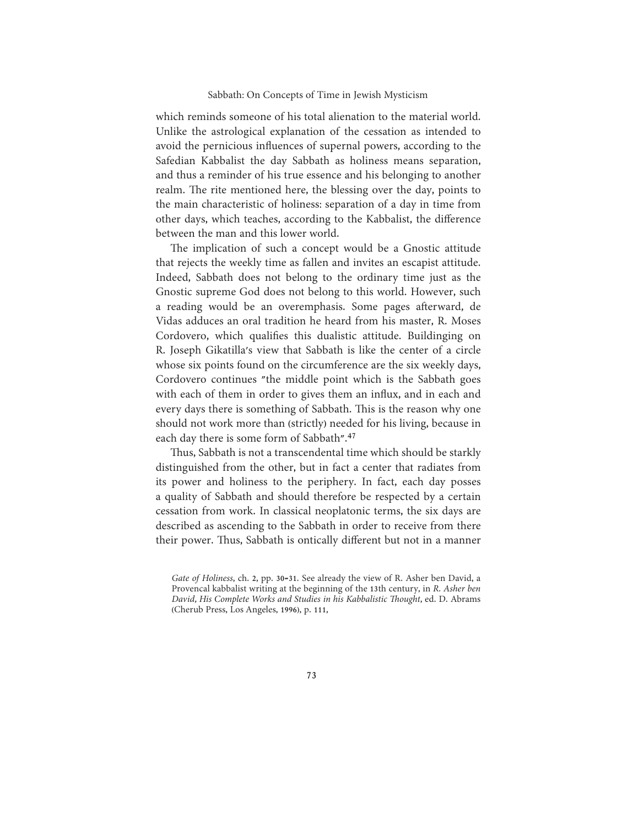which reminds someone of his total alienation to the material world. Unlike the astrological explanation of the cessation as intended to avoid the pernicious influences of supernal powers, according to the Safedian Kabbalist the day Sabbath as holiness means separation, and thus a reminder of his true essence and his belonging to another realm. The rite mentioned here, the blessing over the day, points to the main characteristic of holiness: separation of a day in time from other days, which teaches, according to the Kabbalist, the difference between the man and this lower world.

The implication of such a concept would be a Gnostic attitude that rejects the weekly time as fallen and invites an escapist attitude. Indeed, Sabbath does not belong to the ordinary time just as the Gnostic supreme God does not belong to this world. However, such a reading would be an overemphasis. Some pages afterward, de Vidas adduces an oral tradition he heard from his master, R. Moses Cordovero, which qualifies this dualistic attitude. Buildinging on R. Joseph Gikatilla's view that Sabbath is like the center of a circle whose six points found on the circumference are the six weekly days, Cordovero continues "the middle point which is the Sabbath goes with each of them in order to gives them an influx, and in each and every days there is something of Sabbath. This is the reason why one should not work more than (strictly) needed for his living, because in each day there is some form of Sabbath".<sup>47</sup>

Thus, Sabbath is not a transcendental time which should be starkly distinguished from the other, but in fact a center that radiates from its power and holiness to the periphery. In fact, each day posses a quality of Sabbath and should therefore be respected by a certain cessation from work. In classical neoplatonic terms, the six days are described as ascending to the Sabbath in order to receive from there their power. Thus, Sabbath is ontically different but not in a manner

Gate of Holiness, ch. 2, pp. 30-31. See already the view of R. Asher ben David, a Provencal kabbalist writing at the beginning of the 13th century, in R. Asher ben David, His Complete Works and Studies in his Kabbalistic Thought, ed. D. Abrams (Cherub Press, Los Angeles, 1996), p. 111,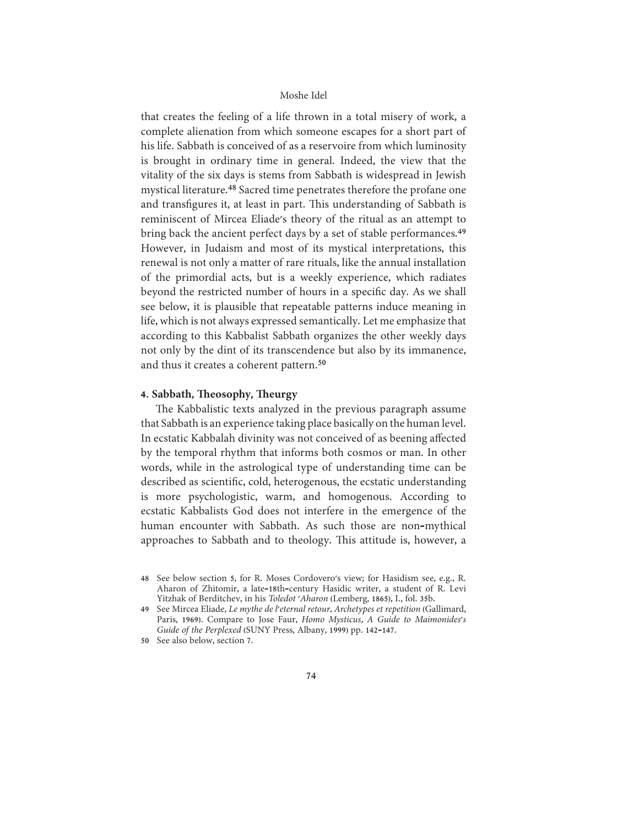that creates the feeling of a life thrown in a total misery of work, a complete alienation from which someone escapes for a short part of his life. Sabbath is conceived of as a reservoire from which luminosity is brought in ordinary time in general. Indeed, the view that the vitality of the six days is stems from Sabbath is widespread in Jewish mystical literature.<sup>48</sup> Sacred time penetrates therefore the profane one and transfigures it, at least in part. This understanding of Sabbath is reminiscent of Mircea Eliade's theory of the ritual as an attempt to bring back the ancient perfect days by a set of stable performances.<sup>49</sup> However, in Judaism and most of its mystical interpretations, this renewal is not only a matter of rare rituals, like the annual installation of the primordial acts, but is a weekly experience, which radiates beyond the restricted number of hours in a specific day. As we shall see below, it is plausible that repeatable patterns induce meaning in life, which is not always expressed semantically. Let me emphasize that according to this Kabbalist Sabbath organizes the other weekly days not only by the dint of its transcendence but also by its immanence, and thus it creates a coherent pattern.<sup>50</sup>

# 4. Sabbath, Theosophy, Theurgy

The Kabbalistic texts analyzed in the previous paragraph assume that Sabbath is an experience taking place basically on the human level. In ecstatic Kabbalah divinity was not conceived of as beening affected by the temporal rhythm that informs both cosmos or man. In other words, while in the astrological type of understanding time can be described as scientific, cold, heterogenous, the ecstatic understanding is more psychologistic, warm, and homogenous. According to ecstatic Kabbalists God does not interfere in the emergence of the human encounter with Sabbath. As such those are non-mythical approaches to Sabbath and to theology. This attitude is, however, a

<sup>48</sup> See below section 5, for R. Moses Cordovero's view; for Hasidism see, e.g., R. Aharon of Zhitomir, a late-18th-century Hasidic writer, a student of R. Levi Yitzhak of Berditchev, in his Toledot 'Aharon (Lemberg, 1865), I., fol. 35b.

<sup>49</sup> See Mircea Eliade, Le mythe de l'eternal retour, Archetypes et repetition (Gallimard, Paris, 1969). Compare to Jose Faur, Homo Mysticus, A Guide to Maimonides's Guide of the Perplexed (SUNY Press, Albany, 1999) pp. 142-147.

<sup>50</sup> See also below, section 7.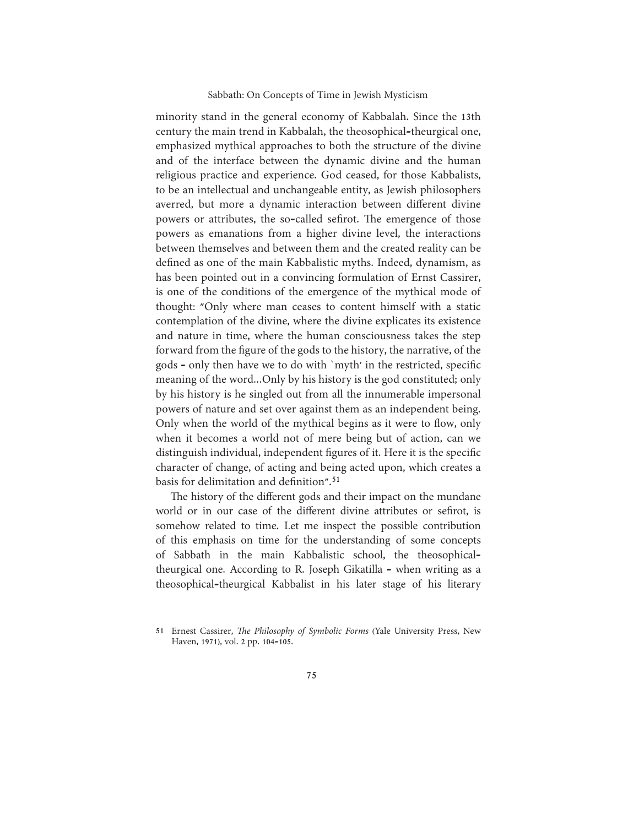minority stand in the general economy of Kabbalah. Since the 13th century the main trend in Kabbalah, the theosophical-theurgical one, emphasized mythical approaches to both the structure of the divine and of the interface between the dynamic divine and the human religious practice and experience. God ceased, for those Kabbalists, to be an intellectual and unchangeable entity, as Jewish philosophers averred, but more a dynamic interaction between different divine powers or attributes, the so-called sefirot. The emergence of those powers as emanations from a higher divine level, the interactions between themselves and between them and the created reality can be defined as one of the main Kabbalistic myths. Indeed, dynamism, as has been pointed out in a convincing formulation of Ernst Cassirer, is one of the conditions of the emergence of the mythical mode of thought: "Only where man ceases to content himself with a static contemplation of the divine, where the divine explicates its existence and nature in time, where the human consciousness takes the step forward from the figure of the gods to the history, the narrative, of the gods - only then have we to do with 'myth' in the restricted, specific meaning of the word...Only by his history is the god constituted; only by his history is he singled out from all the innumerable impersonal powers of nature and set over against them as an independent being. Only when the world of the mythical begins as it were to flow, only when it becomes a world not of mere being but of action, can we distinguish individual, independent figures of it. Here it is the specific character of change, of acting and being acted upon, which creates a basis for delimitation and definition".<sup>51</sup>

The history of the different gods and their impact on the mundane world or in our case of the different divine attributes or sefirot, is somehow related to time. Let me inspect the possible contribution of this emphasis on time for the understanding of some concepts of Sabbath in the main Kabbalistic school, the theosophicaltheurgical one. According to R. Joseph Gikatilla - when writing as a theosophical-theurgical Kabbalist in his later stage of his literary

<sup>51</sup> Ernest Cassirer, The Philosophy of Symbolic Forms (Yale University Press, New Haven, 1971), vol. 2 pp. 104-105.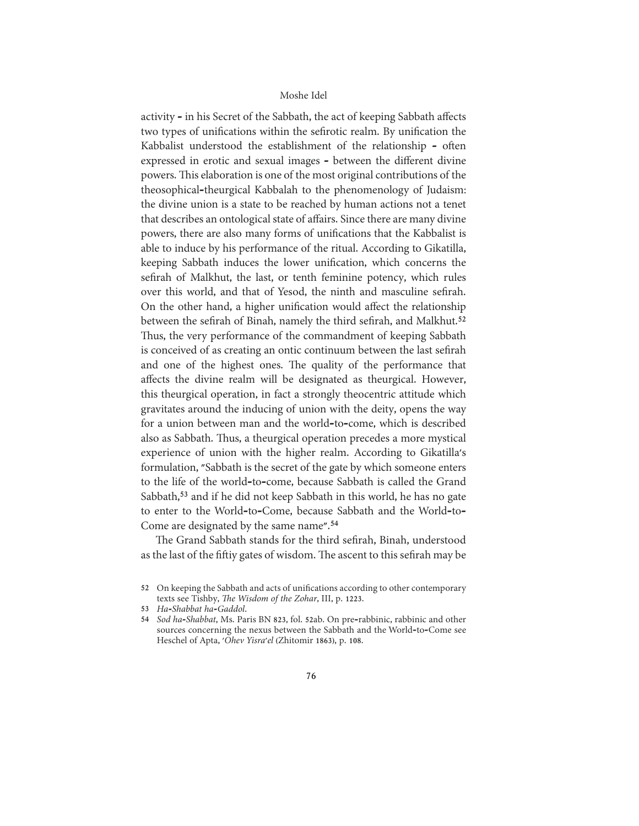activity - in his Secret of the Sabbath, the act of keeping Sabbath affects two types of unifications within the sefirotic realm. By unification the Kabbalist understood the establishment of the relationship - often expressed in erotic and sexual images - between the different divine powers. This elaboration is one of the most original contributions of the theosophical-theurgical Kabbalah to the phenomenology of Judaism: the divine union is a state to be reached by human actions not a tenet that describes an ontological state of affairs. Since there are many divine powers, there are also many forms of unifications that the Kabbalist is able to induce by his performance of the ritual. According to Gikatilla, keeping Sabbath induces the lower unification, which concerns the sefirah of Malkhut, the last, or tenth feminine potency, which rules over this world, and that of Yesod, the ninth and masculine sefirah. On the other hand, a higher unification would affect the relationship between the sefirah of Binah, namely the third sefirah, and Malkhut.<sup>52</sup> Thus, the very performance of the commandment of keeping Sabbath is conceived of as creating an ontic continuum between the last sefirah and one of the highest ones. The quality of the performance that affects the divine realm will be designated as theurgical. However, this theurgical operation, in fact a strongly theocentric attitude which gravitates around the inducing of union with the deity, opens the way for a union between man and the world-to-come, which is described also as Sabbath. Thus, a theurgical operation precedes a more mystical experience of union with the higher realm. According to Gikatilla's formulation, "Sabbath is the secret of the gate by which someone enters to the life of the world-to-come, because Sabbath is called the Grand Sabbath,<sup>53</sup> and if he did not keep Sabbath in this world, he has no gate to enter to the World-to-Come, because Sabbath and the World-to-Come are designated by the same name".<sup>54</sup>

The Grand Sabbath stands for the third sefirah, Binah, understood as the last of the fiftiy gates of wisdom. The ascent to this sefirah may be

<sup>52</sup> On keeping the Sabbath and acts of unifications according to other contemporary texts see Tishby, The Wisdom of the Zohar, III, p. 1223.

<sup>53</sup> Ha-Shabbat ha-Gaddol.

<sup>54</sup> Sod ha-Shabbat, Ms. Paris BN 823, fol. 52ab. On pre-rabbinic, rabbinic and other sources concerning the nexus between the Sabbath and the World-to-Come see Heschel of Apta, 'Ohev Yisra'el (Zhitomir 1863), p. 108.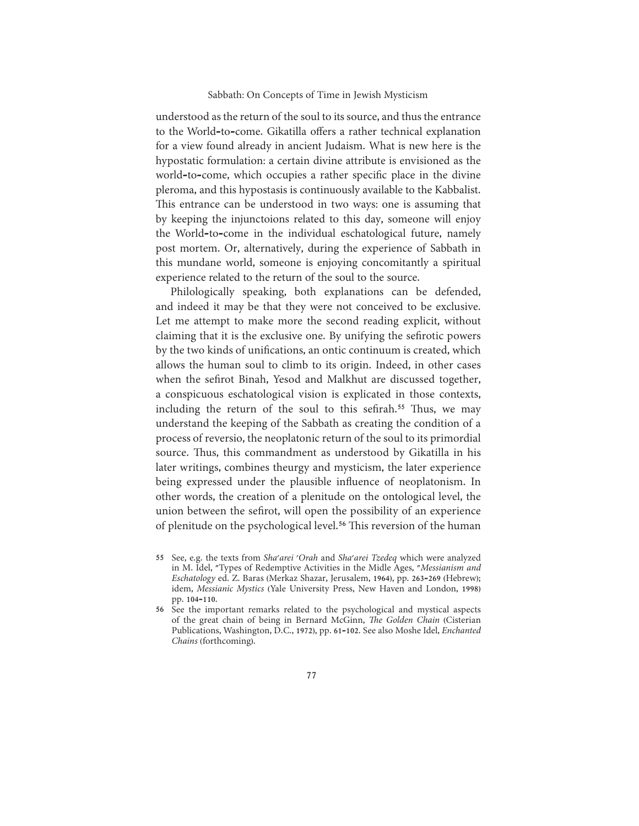understood as the return of the soul to its source, and thus the entrance to the World-to-come. Gikatilla offers a rather technical explanation for a view found already in ancient Judaism. What is new here is the hypostatic formulation: a certain divine attribute is envisioned as the world-to-come, which occupies a rather specific place in the divine pleroma, and this hypostasis is continuously available to the Kabbalist. This entrance can be understood in two ways: one is assuming that by keeping the injunctoions related to this day, someone will enjoy the World-to-come in the individual eschatological future, namely post mortem. Or, alternatively, during the experience of Sabbath in this mundane world, someone is enjoying concomitantly a spiritual experience related to the return of the soul to the source.

Philologically speaking, both explanations can be defended, and indeed it may be that they were not conceived to be exclusive. Let me attempt to make more the second reading explicit, without claiming that it is the exclusive one. By unifying the sefirotic powers by the two kinds of unifications, an ontic continuum is created, which allows the human soul to climb to its origin. Indeed, in other cases when the sefirot Binah, Yesod and Malkhut are discussed together, a conspicuous eschatological vision is explicated in those contexts, including the return of the soul to this sefirah.<sup>55</sup> Thus, we may understand the keeping of the Sabbath as creating the condition of a process of reversio, the neoplatonic return of the soul to its primordial source. Thus, this commandment as understood by Gikatilla in his later writings, combines theurgy and mysticism, the later experience being expressed under the plausible influence of neoplatonism. In other words, the creation of a plenitude on the ontological level, the union between the sefirot, will open the possibility of an experience of plenitude on the psychological level.<sup>56</sup> This reversion of the human

55 See, e.g. the texts from Sha'arei 'Orah and Sha'arei Tzedeq which were analyzed in M. Idel, "Types of Redemptive Activities in the Midle Ages, "Messianism and Eschatology ed. Z. Baras (Merkaz Shazar, Jerusalem, 1964), pp. 263-269 (Hebrew); idem, Messianic Mystics (Yale University Press, New Haven and London, 1998) pp. 104-110.

56 See the important remarks related to the psychological and mystical aspects of the great chain of being in Bernard McGinn, The Golden Chain (Cisterian Publications, Washington, D.C., 1972), pp. 61-102. See also Moshe Idel, Enchanted Chains (forthcoming).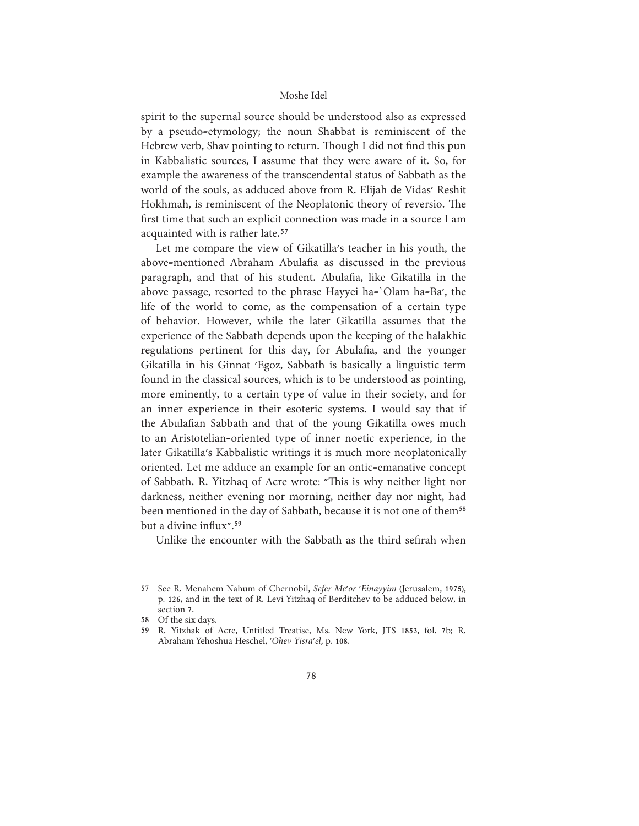spirit to the supernal source should be understood also as expressed by a pseudo-etymology; the noun Shabbat is reminiscent of the Hebrew verb, Shav pointing to return. Though I did not find this pun in Kabbalistic sources, I assume that they were aware of it. So, for example the awareness of the transcendental status of Sabbath as the world of the souls, as adduced above from R. Elijah de Vidas' Reshit Hokhmah, is reminiscent of the Neoplatonic theory of reversio. The first time that such an explicit connection was made in a source I am acquainted with is rather late.<sup>57</sup>

Let me compare the view of Gikatilla's teacher in his youth, the above-mentioned Abraham Abulafia as discussed in the previous paragraph, and that of his student. Abulafia, like Gikatilla in the above passage, resorted to the phrase Hayyei ha-`Olam ha-Ba', the life of the world to come, as the compensation of a certain type of behavior. However, while the later Gikatilla assumes that the experience of the Sabbath depends upon the keeping of the halakhic regulations pertinent for this day, for Abulafia, and the younger Gikatilla in his Ginnat 'Egoz, Sabbath is basically a linguistic term found in the classical sources, which is to be understood as pointing, more eminently, to a certain type of value in their society, and for an inner experience in their esoteric systems. I would say that if the Abulafian Sabbath and that of the young Gikatilla owes much to an Aristotelian-oriented type of inner noetic experience, in the later Gikatilla's Kabbalistic writings it is much more neoplatonically oriented. Let me adduce an example for an ontic-emanative concept of Sabbath. R. Yitzhaq of Acre wrote: "This is why neither light nor darkness, neither evening nor morning, neither day nor night, had been mentioned in the day of Sabbath, because it is not one of them<sup>58</sup> but a divine influx".<sup>59</sup>

Unlike the encounter with the Sabbath as the third sefirah when

<sup>57</sup> See R. Menahem Nahum of Chernobil, Sefer Me'or 'Einayyim (Jerusalem, 1975), p. 126, and in the text of R. Levi Yitzhaq of Berditchev to be adduced below, in section 7.

<sup>58</sup> Of the six days.

<sup>59</sup> R. Yitzhak of Acre, Untitled Treatise, Ms. New York, JTS 1853, fol. 7b; R. Abraham Yehoshua Heschel, 'Ohev Yisra'el, p. 108.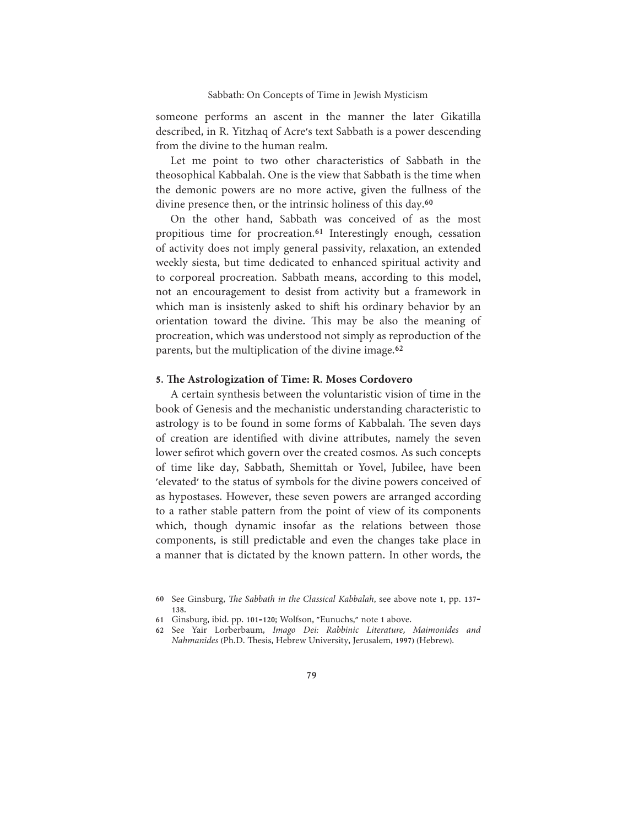someone performs an ascent in the manner the later Gikatilla described, in R. Yitzhaq of Acre's text Sabbath is a power descending from the divine to the human realm.

Let me point to two other characteristics of Sabbath in the theosophical Kabbalah. One is the view that Sabbath is the time when the demonic powers are no more active, given the fullness of the divine presence then, or the intrinsic holiness of this day.<sup>60</sup>

On the other hand, Sabbath was conceived of as the most propitious time for procreation.<sup>61</sup> Interestingly enough, cessation of activity does not imply general passivity, relaxation, an extended weekly siesta, but time dedicated to enhanced spiritual activity and to corporeal procreation. Sabbath means, according to this model, not an encouragement to desist from activity but a framework in which man is insistenly asked to shift his ordinary behavior by an orientation toward the divine. This may be also the meaning of procreation, which was understood not simply as reproduction of the parents, but the multiplication of the divine image.<sup>62</sup>

# 5. The Astrologization of Time: R. Moses Cordovero

A certain synthesis between the voluntaristic vision of time in the book of Genesis and the mechanistic understanding characteristic to astrology is to be found in some forms of Kabbalah. The seven days of creation are identified with divine attributes, namely the seven lower sefirot which govern over the created cosmos. As such concepts of time like day, Sabbath, Shemittah or Yovel, Jubilee, have been 'elevated' to the status of symbols for the divine powers conceived of as hypostases. However, these seven powers are arranged according to a rather stable pattern from the point of view of its components which, though dynamic insofar as the relations between those components, is still predictable and even the changes take place in a manner that is dictated by the known pattern. In other words, the

<sup>60</sup> See Ginsburg, The Sabbath in the Classical Kabbalah, see above note 1, pp. 137-138.

<sup>61</sup> Ginsburg, ibid. pp. 101-120; Wolfson, "Eunuchs," note 1 above.

<sup>62</sup> See Yair Lorberbaum, Imago Dei: Rabbinic Literature, Maimonides and Nahmanides (Ph.D. Thesis, Hebrew University, Jerusalem, 1997) (Hebrew).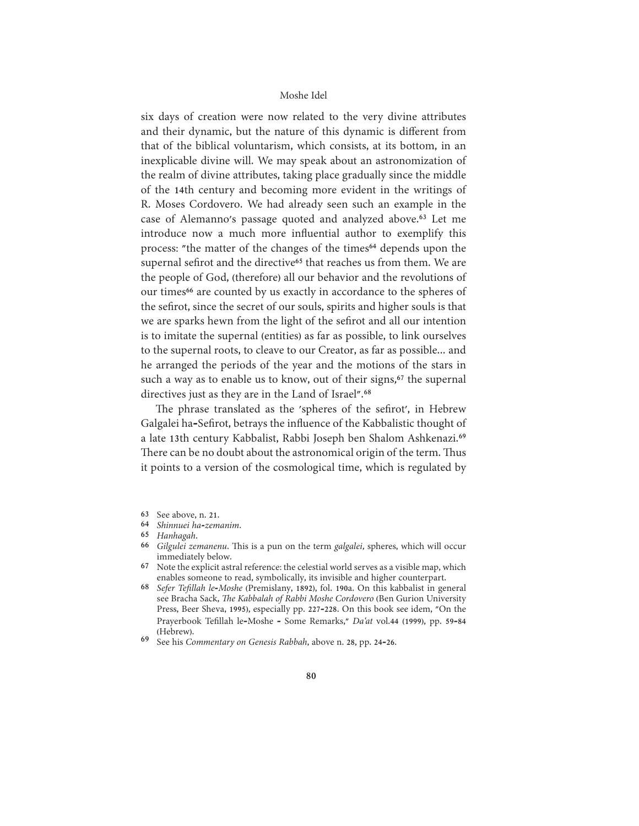six days of creation were now related to the very divine attributes and their dynamic, but the nature of this dynamic is different from that of the biblical voluntarism, which consists, at its bottom, in an inexplicable divine will. We may speak about an astronomization of the realm of divine attributes, taking place gradually since the middle of the 14th century and becoming more evident in the writings of R. Moses Cordovero. We had already seen such an example in the case of Alemanno's passage quoted and analyzed above.<sup>63</sup> Let me introduce now a much more influential author to exemplify this process: "the matter of the changes of the times<sup>64</sup> depends upon the supernal sefirot and the directive<sup>65</sup> that reaches us from them. We are the people of God, (therefore) all our behavior and the revolutions of our times<sup>66</sup> are counted by us exactly in accordance to the spheres of the sefirot, since the secret of our souls, spirits and higher souls is that we are sparks hewn from the light of the sefirot and all our intention is to imitate the supernal (entities) as far as possible, to link ourselves to the supernal roots, to cleave to our Creator, as far as possible... and he arranged the periods of the year and the motions of the stars in such a way as to enable us to know, out of their signs,<sup>67</sup> the supernal directives just as they are in the Land of Israel".<sup>68</sup>

The phrase translated as the 'spheres of the sefirot', in Hebrew Galgalei ha-Sefirot, betrays the influence of the Kabbalistic thought of a late 13th century Kabbalist, Rabbi Joseph ben Shalom Ashkenazi.<sup>69</sup> There can be no doubt about the astronomical origin of the term. Thus it points to a version of the cosmological time, which is regulated by

- 63 See above, n. 21.
- 64 Shinnuei ha-zemanim.
- 65 Hanhagah.
- 66 Gilgulei zemanenu. This is a pun on the term galgalei, spheres, which will occur immediately below.
- 67 Note the explicit astral reference: the celestial world serves as a visible map, which enables someone to read, symbolically, its invisible and higher counterpart.
- 68 Sefer Tefillah le-Moshe (Premislany, 1892), fol. 190a. On this kabbalist in general see Bracha Sack, The Kabbalah of Rabbi Moshe Cordovero (Ben Gurion University Press, Beer Sheva, 1995), especially pp. 227-228. On this book see idem, "On the Prayerbook Tefillah le-Moshe - Some Remarks," Da'at vol.44 (1999), pp. 59-84 (Hebrew).
- 69 See his Commentary on Genesis Rabbah, above n. 28, pp. 24-26.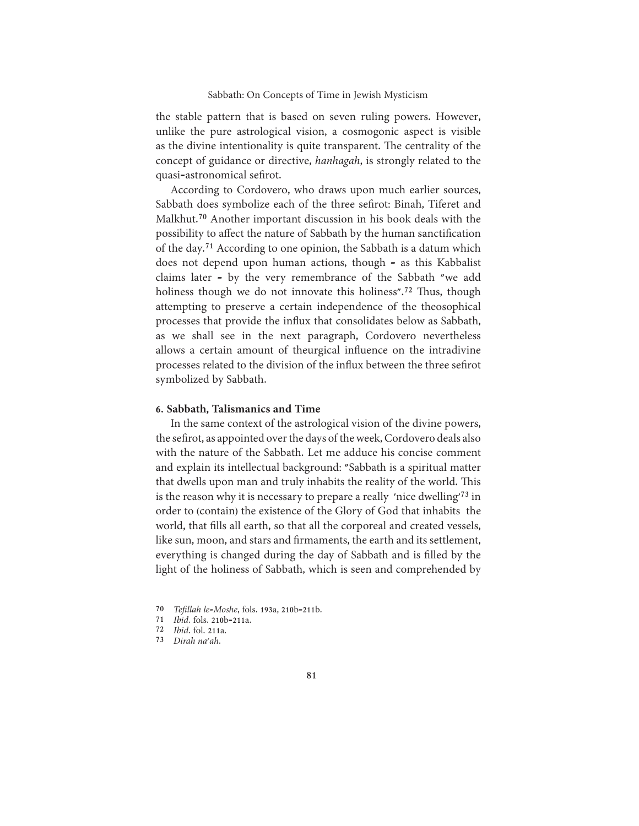the stable pattern that is based on seven ruling powers. However, unlike the pure astrological vision, a cosmogonic aspect is visible as the divine intentionality is quite transparent. The centrality of the concept of guidance or directive, hanhagah, is strongly related to the quasi-astronomical sefirot.

According to Cordovero, who draws upon much earlier sources, Sabbath does symbolize each of the three sefirot: Binah, Tiferet and Malkhut.<sup>70</sup> Another important discussion in his book deals with the possibility to affect the nature of Sabbath by the human sanctification of the day.<sup>71</sup> According to one opinion, the Sabbath is a datum which does not depend upon human actions, though - as this Kabbalist claims later - by the very remembrance of the Sabbath "we add holiness though we do not innovate this holiness".<sup>72</sup> Thus, though attempting to preserve a certain independence of the theosophical processes that provide the influx that consolidates below as Sabbath, as we shall see in the next paragraph, Cordovero nevertheless allows a certain amount of theurgical influence on the intradivine processes related to the division of the influx between the three sefirot symbolized by Sabbath.

## 6. Sabbath, Talismanics and Time

In the same context of the astrological vision of the divine powers, the sefirot, as appointed over the days of the week, Cordovero deals also with the nature of the Sabbath. Let me adduce his concise comment and explain its intellectual background: "Sabbath is a spiritual matter that dwells upon man and truly inhabits the reality of the world. This is the reason why it is necessary to prepare a really 'nice dwelling'<sup>73</sup> in order to (contain) the existence of the Glory of God that inhabits the world, that fills all earth, so that all the corporeal and created vessels, like sun, moon, and stars and firmaments, the earth and its settlement, everything is changed during the day of Sabbath and is filled by the light of the holiness of Sabbath, which is seen and comprehended by

- 70 Tefillah le-Moshe, fols. 193a, 210b-211b.
- 71 *Ibid.* fols. 210b-211a.
- 72 *Ibid.* fol. 211a.
- 73 Dirah na'ah.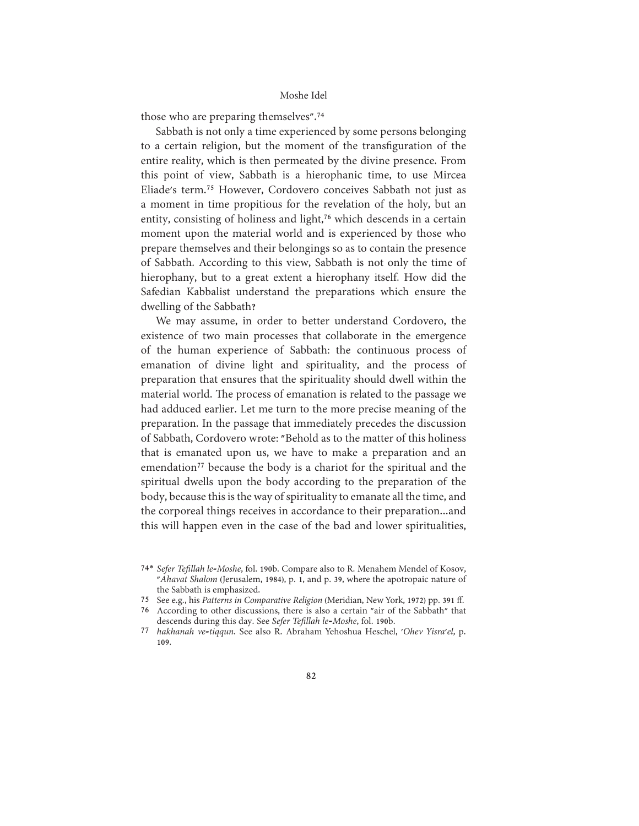those who are preparing themselves".<sup>74</sup>

Sabbath is not only a time experienced by some persons belonging to a certain religion, but the moment of the transfiguration of the entire reality, which is then permeated by the divine presence. From this point of view, Sabbath is a hierophanic time, to use Mircea Eliade's term.<sup>75</sup> However, Cordovero conceives Sabbath not just as a moment in time propitious for the revelation of the holy, but an entity, consisting of holiness and light,<sup>76</sup> which descends in a certain moment upon the material world and is experienced by those who prepare themselves and their belongings so as to contain the presence of Sabbath. According to this view, Sabbath is not only the time of hierophany, but to a great extent a hierophany itself. How did the Safedian Kabbalist understand the preparations which ensure the dwelling of the Sabbath?

We may assume, in order to better understand Cordovero, the existence of two main processes that collaborate in the emergence of the human experience of Sabbath: the continuous process of emanation of divine light and spirituality, and the process of preparation that ensures that the spirituality should dwell within the material world. The process of emanation is related to the passage we had adduced earlier. Let me turn to the more precise meaning of the preparation. In the passage that immediately precedes the discussion of Sabbath, Cordovero wrote: "Behold as to the matter of this holiness that is emanated upon us, we have to make a preparation and an emendation<sup>77</sup> because the body is a chariot for the spiritual and the spiritual dwells upon the body according to the preparation of the body, because this is the way of spirituality to emanate all the time, and the corporeal things receives in accordance to their preparation...and this will happen even in the case of the bad and lower spiritualities,

75 See e.g., his Patterns in Comparative Religion (Meridian, New York, 1972) pp. 391 ff.

76 According to other discussions, there is also a certain "air of the Sabbath" that descends during this day. See Sefer Tefillah le-Moshe, fol. 190b.

<sup>74\*</sup> Sefer Tefillah le-Moshe, fol. 190b. Compare also to R. Menahem Mendel of Kosov, "Ahavat Shalom (Jerusalem, 1984), p. 1, and p. 39, where the apotropaic nature of the Sabbath is emphasized.

<sup>77</sup> hakhanah ve-tiqqun. See also R. Abraham Yehoshua Heschel, 'Ohev Yisra'el, p. 109.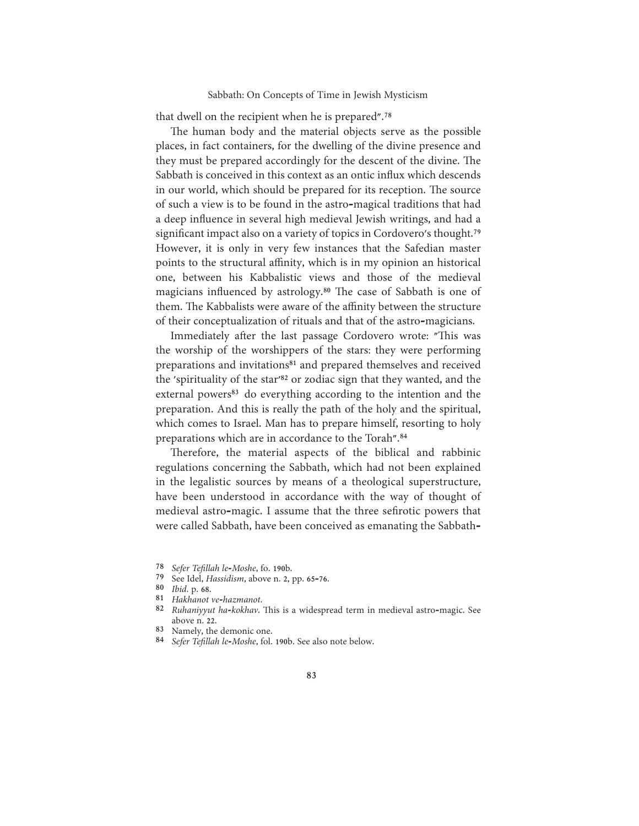that dwell on the recipient when he is prepared".<sup>78</sup>

The human body and the material objects serve as the possible places, in fact containers, for the dwelling of the divine presence and they must be prepared accordingly for the descent of the divine. The Sabbath is conceived in this context as an ontic influx which descends in our world, which should be prepared for its reception. The source of such a view is to be found in the astro-magical traditions that had a deep influence in several high medieval Jewish writings, and had a significant impact also on a variety of topics in Cordovero's thought.<sup>79</sup> However, it is only in very few instances that the Safedian master points to the structural affinity, which is in my opinion an historical one, between his Kabbalistic views and those of the medieval magicians influenced by astrology.<sup>80</sup> The case of Sabbath is one of them. The Kabbalists were aware of the affinity between the structure of their conceptualization of rituals and that of the astro-magicians.

Immediately after the last passage Cordovero wrote: "This was the worship of the worshippers of the stars: they were performing preparations and invitations<sup>81</sup> and prepared themselves and received the 'spirituality of the star'<sup>82</sup> or zodiac sign that they wanted, and the external powers<sup>83</sup> do everything according to the intention and the preparation. And this is really the path of the holy and the spiritual, which comes to Israel. Man has to prepare himself, resorting to holy preparations which are in accordance to the Torah".<sup>84</sup>

Therefore, the material aspects of the biblical and rabbinic regulations concerning the Sabbath, which had not been explained in the legalistic sources by means of a theological superstructure, have been understood in accordance with the way of thought of medieval astro-magic. I assume that the three sefirotic powers that were called Sabbath, have been conceived as emanating the Sabbath-

- 79 See Idel, Hassidism, above n. 2, pp. 65-76.
- 80 *Ibid.* p. 68.
- 81 Hakhanot ve-hazmanot.
- 82 Ruhaniyyut ha-kokhav. This is a widespread term in medieval astro-magic. See above n. 22.
- 83 Namely, the demonic one.
- 84 Sefer Tefillah le-Moshe, fol. 190b. See also note below.

<sup>78</sup> Sefer Tefillah le-Moshe, fo. 190b.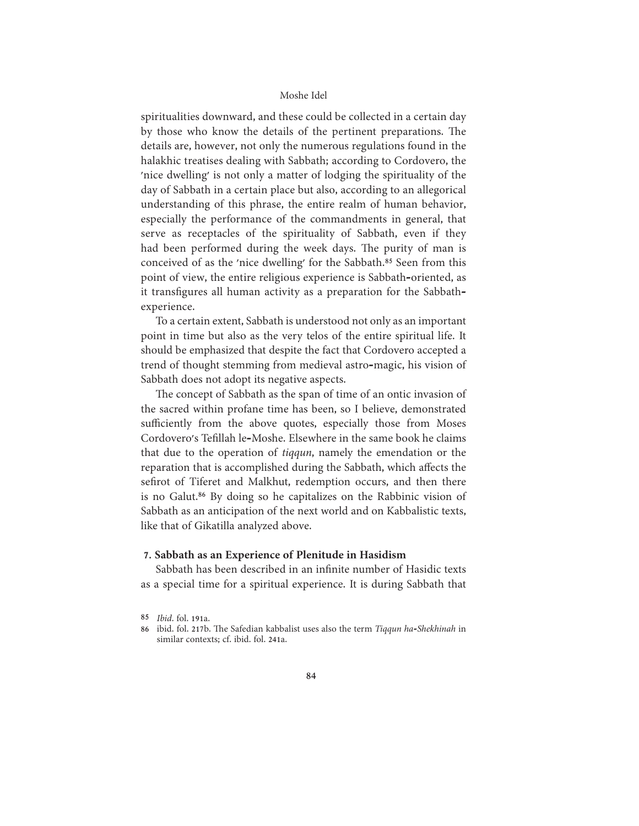spiritualities downward, and these could be collected in a certain day by those who know the details of the pertinent preparations. The details are, however, not only the numerous regulations found in the halakhic treatises dealing with Sabbath; according to Cordovero, the 'nice dwelling' is not only a matter of lodging the spirituality of the day of Sabbath in a certain place but also, according to an allegorical understanding of this phrase, the entire realm of human behavior, especially the performance of the commandments in general, that serve as receptacles of the spirituality of Sabbath, even if they had been performed during the week days. The purity of man is conceived of as the 'nice dwelling' for the Sabbath.<sup>85</sup> Seen from this point of view, the entire religious experience is Sabbath-oriented, as it transfigures all human activity as a preparation for the Sabbathexperience.

To a certain extent, Sabbath is understood not only as an important point in time but also as the very telos of the entire spiritual life. It should be emphasized that despite the fact that Cordovero accepted a trend of thought stemming from medieval astro-magic, his vision of Sabbath does not adopt its negative aspects.

The concept of Sabbath as the span of time of an ontic invasion of the sacred within profane time has been, so I believe, demonstrated sufficiently from the above quotes, especially those from Moses Cordovero's Tefillah le-Moshe. Elsewhere in the same book he claims that due to the operation of *tiqqun*, namely the emendation or the reparation that is accomplished during the Sabbath, which affects the sefirot of Tiferet and Malkhut, redemption occurs, and then there is no Galut.<sup>86</sup> By doing so he capitalizes on the Rabbinic vision of Sabbath as an anticipation of the next world and on Kabbalistic texts, like that of Gikatilla analyzed above.

#### 7. Sabbath as an Experience of Plenitude in Hasidism

Sabbath has been described in an infinite number of Hasidic texts as a special time for a spiritual experience. It is during Sabbath that

<sup>85</sup> *Ibid.* fol. 191a.

<sup>86</sup> ibid. fol. 217b. The Safedian kabbalist uses also the term Tiqqun ha-Shekhinah in similar contexts: cf. ibid. fol. 241a.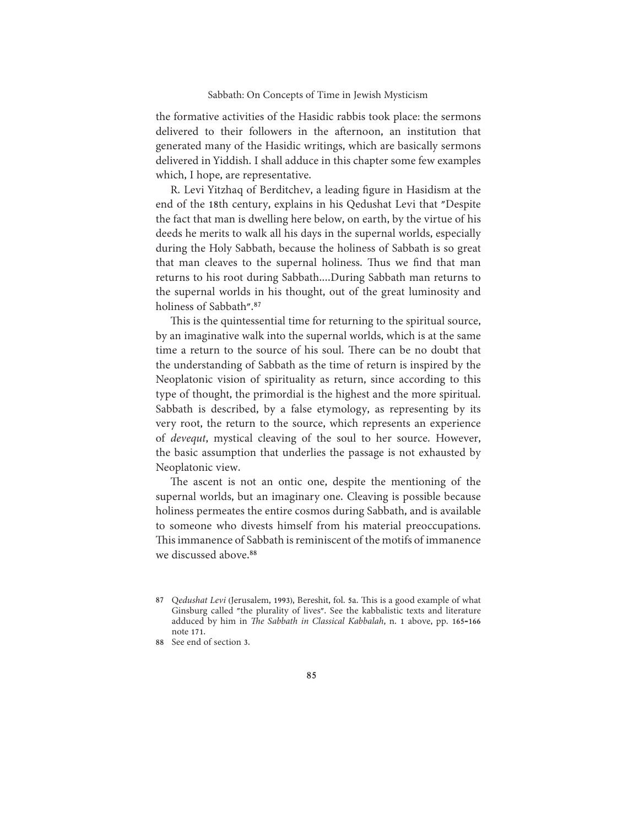the formative activities of the Hasidic rabbis took place: the sermons delivered to their followers in the afternoon, an institution that generated many of the Hasidic writings, which are basically sermons delivered in Yiddish. I shall adduce in this chapter some few examples which, I hope, are representative.

R. Levi Yitzhaq of Berditchev, a leading figure in Hasidism at the end of the 18th century, explains in his Qedushat Levi that "Despite the fact that man is dwelling here below, on earth, by the virtue of his deeds he merits to walk all his days in the supernal worlds, especially during the Holy Sabbath, because the holiness of Sabbath is so great that man cleaves to the supernal holiness. Thus we find that man returns to his root during Sabbath....During Sabbath man returns to the supernal worlds in his thought, out of the great luminosity and holiness of Sabbath".<sup>87</sup>

This is the quintessential time for returning to the spiritual source, by an imaginative walk into the supernal worlds, which is at the same time a return to the source of his soul. There can be no doubt that the understanding of Sabbath as the time of return is inspired by the Neoplatonic vision of spirituality as return, since according to this type of thought, the primordial is the highest and the more spiritual. Sabbath is described, by a false etymology, as representing by its very root, the return to the source, which represents an experience of *devequt*, mystical cleaving of the soul to her source. However, the basic assumption that underlies the passage is not exhausted by Neoplatonic view.

The ascent is not an ontic one, despite the mentioning of the supernal worlds, but an imaginary one. Cleaving is possible because holiness permeates the entire cosmos during Sabbath, and is available to someone who divests himself from his material preoccupations. This immanence of Sabbath is reminiscent of the motifs of immanence we discussed above.<sup>88</sup>

<sup>87</sup> Qedushat Levi (Jerusalem, 1993), Bereshit, fol. 5a. This is a good example of what Ginsburg called "the plurality of lives". See the kabbalistic texts and literature adduced by him in The Sabbath in Classical Kabbalah, n. 1 above, pp. 165-166 note 171.

<sup>88</sup> See end of section 3.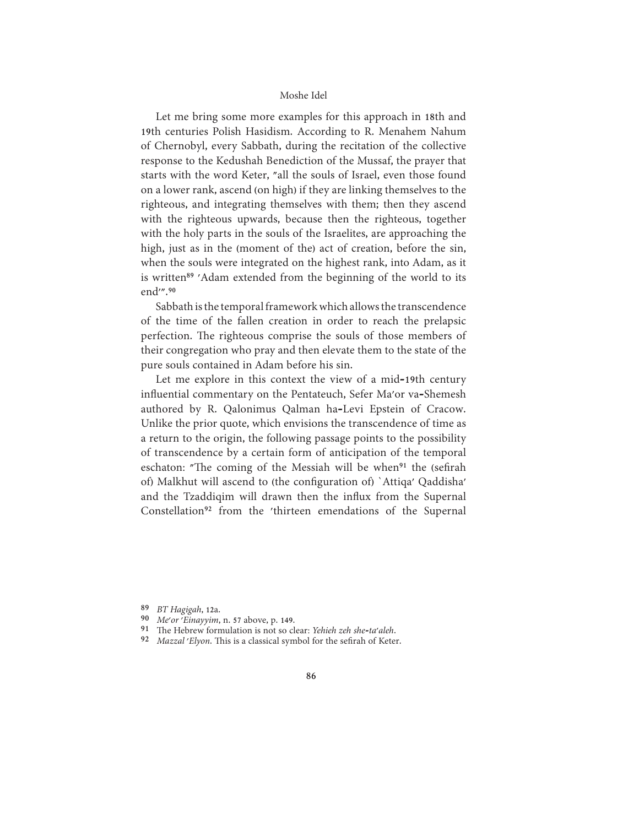Let me bring some more examples for this approach in 18th and 19th centuries Polish Hasidism. According to R. Menahem Nahum of Chernobyl, every Sabbath, during the recitation of the collective response to the Kedushah Benediction of the Mussaf, the prayer that starts with the word Keter, "all the souls of Israel, even those found on a lower rank, ascend (on high) if they are linking themselves to the righteous, and integrating themselves with them; then they ascend with the righteous upwards, because then the righteous, together with the holy parts in the souls of the Israelites, are approaching the high, just as in the (moment of the) act of creation, before the sin, when the souls were integrated on the highest rank, into Adam, as it is written<sup>89</sup> 'Adam extended from the beginning of the world to its end".90

Sabbath is the temporal framework which allows the transcendence of the time of the fallen creation in order to reach the prelapsic perfection. The righteous comprise the souls of those members of their congregation who pray and then elevate them to the state of the pure souls contained in Adam before his sin.

Let me explore in this context the view of a mid-19th century influential commentary on the Pentateuch, Sefer Ma'or va-Shemesh authored by R. Qalonimus Qalman ha-Levi Epstein of Cracow. Unlike the prior quote, which envisions the transcendence of time as a return to the origin, the following passage points to the possibility of transcendence by a certain form of anticipation of the temporal eschaton: "The coming of the Messiah will be when<sup>91</sup> the (sefirah of) Malkhut will ascend to (the configuration of) 'Attiqa' Qaddisha' and the Tzaddigim will drawn then the influx from the Supernal Constellation<sup>92</sup> from the 'thirteen emendations of the Supernal

- 90 Me'or 'Einayyim, n. 57 above, p. 149.
- 91 The Hebrew formulation is not so clear: Yehieh zeh she-ta'aleh.
- 92 Mazzal 'Elyon. This is a classical symbol for the sefirah of Keter.

<sup>89</sup> BT Hagigah, 12a.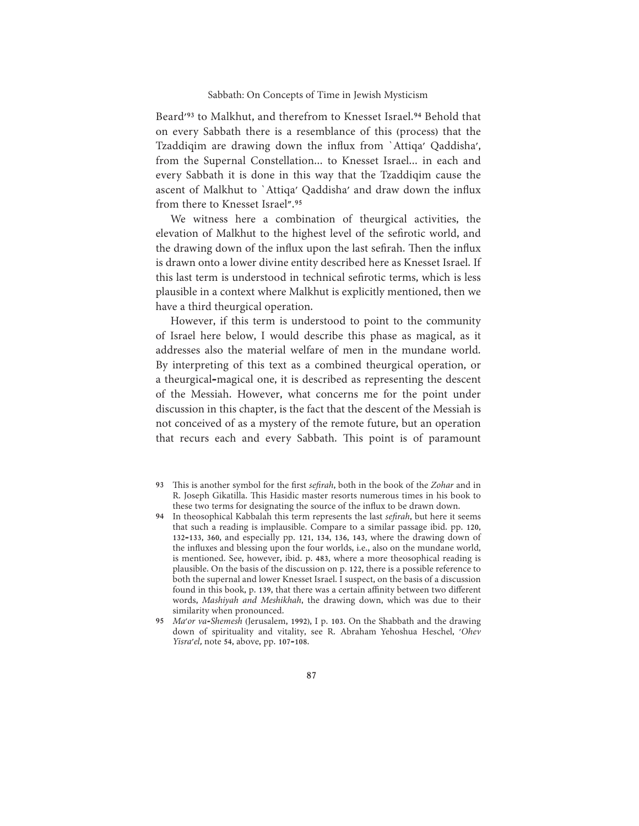Beard'<sup>93</sup> to Malkhut, and therefrom to Knesset Israel.<sup>94</sup> Behold that on every Sabbath there is a resemblance of this (process) that the Tzaddiqim are drawing down the influx from 'Attiqa' Qaddisha', from the Supernal Constellation... to Knesset Israel... in each and every Sabbath it is done in this way that the Tzaddigim cause the ascent of Malkhut to 'Attiqa' Qaddisha' and draw down the influx from there to Knesset Israel".95

We witness here a combination of theurgical activities, the elevation of Malkhut to the highest level of the sefirotic world, and the drawing down of the influx upon the last sefirah. Then the influx is drawn onto a lower divine entity described here as Knesset Israel. If this last term is understood in technical sefirotic terms, which is less plausible in a context where Malkhut is explicitly mentioned, then we have a third theurgical operation.

However, if this term is understood to point to the community of Israel here below, I would describe this phase as magical, as it addresses also the material welfare of men in the mundane world. By interpreting of this text as a combined theurgical operation, or a theurgical-magical one, it is described as representing the descent of the Messiah. However, what concerns me for the point under discussion in this chapter, is the fact that the descent of the Messiah is not conceived of as a mystery of the remote future, but an operation that recurs each and every Sabbath. This point is of paramount

- 93 This is another symbol for the first *sefirah*, both in the book of the Zohar and in R. Joseph Gikatilla. This Hasidic master resorts numerous times in his book to these two terms for designating the source of the influx to be drawn down.
- 94 In theosophical Kabbalah this term represents the last sefirah, but here it seems that such a reading is implausible. Compare to a similar passage ibid. pp. 120, 132-133, 360, and especially pp. 121, 134, 136, 143, where the drawing down of the influxes and blessing upon the four worlds, i.e., also on the mundane world, is mentioned. See, however, ibid. p. 483, where a more theosophical reading is plausible. On the basis of the discussion on p. 122, there is a possible reference to both the supernal and lower Knesset Israel. I suspect, on the basis of a discussion found in this book, p. 139, that there was a certain affinity between two different words, Mashiyah and Meshikhah, the drawing down, which was due to their similarity when pronounced.
- 95 Ma'or va-Shemesh (Jerusalem, 1992), I p. 103. On the Shabbath and the drawing down of spirituality and vitality, see R. Abraham Yehoshua Heschel, 'Ohev Yisra'el, note 54, above, pp. 107-108.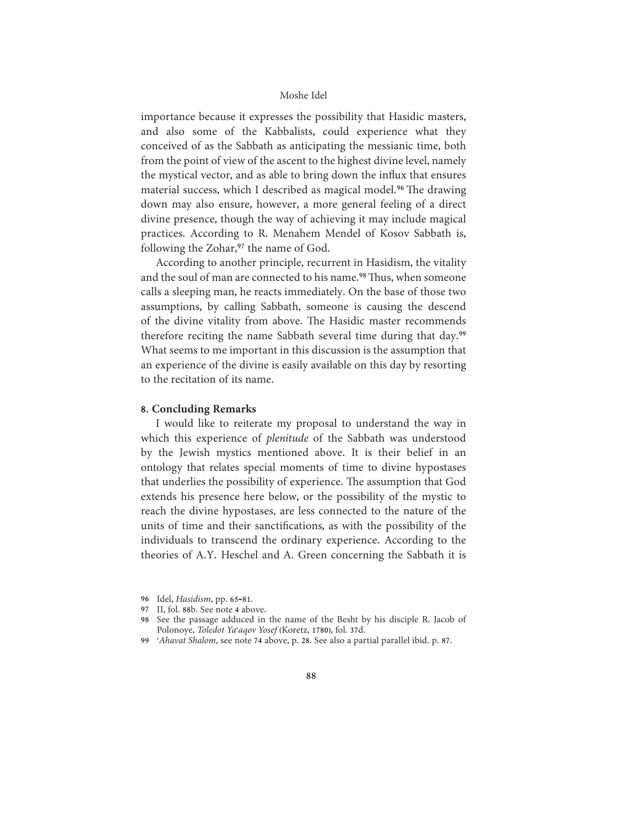importance because it expresses the possibility that Hasidic masters, and also some of the Kabbalists, could experience what they conceived of as the Sabbath as anticipating the messianic time, both from the point of view of the ascent to the highest divine level, namely the mystical vector, and as able to bring down the influx that ensures material success, which I described as magical model.<sup>96</sup> The drawing down may also ensure, however, a more general feeling of a direct divine presence, though the way of achieving it may include magical practices. According to R. Menahem Mendel of Kosov Sabbath is, following the Zohar,<sup>97</sup> the name of God.

According to another principle, recurrent in Hasidism, the vitality and the soul of man are connected to his name.<sup>98</sup> Thus, when someone calls a sleeping man, he reacts immediately. On the base of those two assumptions, by calling Sabbath, someone is causing the descend of the divine vitality from above. The Hasidic master recommends therefore reciting the name Sabbath several time during that day.<sup>99</sup> What seems to me important in this discussion is the assumption that an experience of the divine is easily available on this day by resorting to the recitation of its name.

# 8. Concluding Remarks

I would like to reiterate my proposal to understand the way in which this experience of *plenitude* of the Sabbath was understood by the Jewish mystics mentioned above. It is their belief in an ontology that relates special moments of time to divine hypostases that underlies the possibility of experience. The assumption that God extends his presence here below, or the possibility of the mystic to reach the divine hypostases, are less connected to the nature of the units of time and their sanctifications, as with the possibility of the individuals to transcend the ordinary experience. According to the theories of A.Y. Heschel and A. Green concerning the Sabbath it is

<sup>96</sup> Idel, Hasidism, pp. 65-81.

<sup>97</sup> II, fol. 88b. See note 4 above.

<sup>98</sup> See the passage adduced in the name of the Besht by his disciple R. Jacob of Polonoye, Toledot Ya'aqov Yosef (Koretz, 1780), fol. 37d.

<sup>99 &#</sup>x27;Ahavat Shalom, see note 74 above, p. 28. See also a partial parallel ibid. p. 87.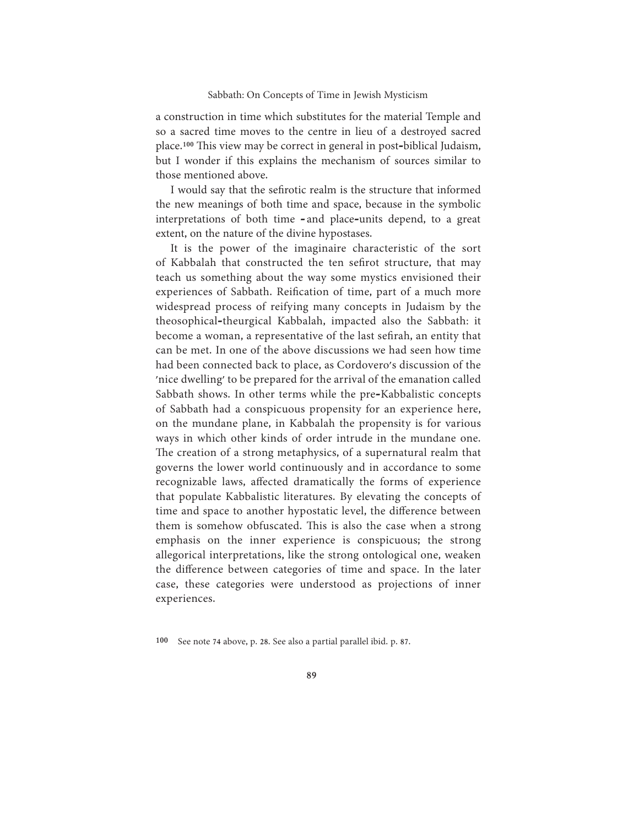a construction in time which substitutes for the material Temple and so a sacred time moves to the centre in lieu of a destroyed sacred place.<sup>100</sup> This view may be correct in general in post-biblical Judaism, but I wonder if this explains the mechanism of sources similar to those mentioned above.

I would say that the sefirotic realm is the structure that informed the new meanings of both time and space, because in the symbolic interpretations of both time - and place-units depend, to a great extent, on the nature of the divine hypostases.

It is the power of the imaginaire characteristic of the sort of Kabbalah that constructed the ten sefirot structure, that may teach us something about the way some mystics envisioned their experiences of Sabbath. Reification of time, part of a much more widespread process of reifying many concepts in Judaism by the theosophical-theurgical Kabbalah, impacted also the Sabbath: it become a woman, a representative of the last sefirah, an entity that can be met. In one of the above discussions we had seen how time had been connected back to place, as Cordovero's discussion of the 'nice dwelling' to be prepared for the arrival of the emanation called Sabbath shows. In other terms while the pre-Kabbalistic concepts of Sabbath had a conspicuous propensity for an experience here, on the mundane plane, in Kabbalah the propensity is for various ways in which other kinds of order intrude in the mundane one. The creation of a strong metaphysics, of a supernatural realm that governs the lower world continuously and in accordance to some recognizable laws, affected dramatically the forms of experience that populate Kabbalistic literatures. By elevating the concepts of time and space to another hypostatic level, the difference between them is somehow obfuscated. This is also the case when a strong emphasis on the inner experience is conspicuous; the strong allegorical interpretations, like the strong ontological one, weaken the difference between categories of time and space. In the later case, these categories were understood as projections of inner experiences.

<sup>100</sup> See note 74 above, p. 28. See also a partial parallel ibid. p. 87.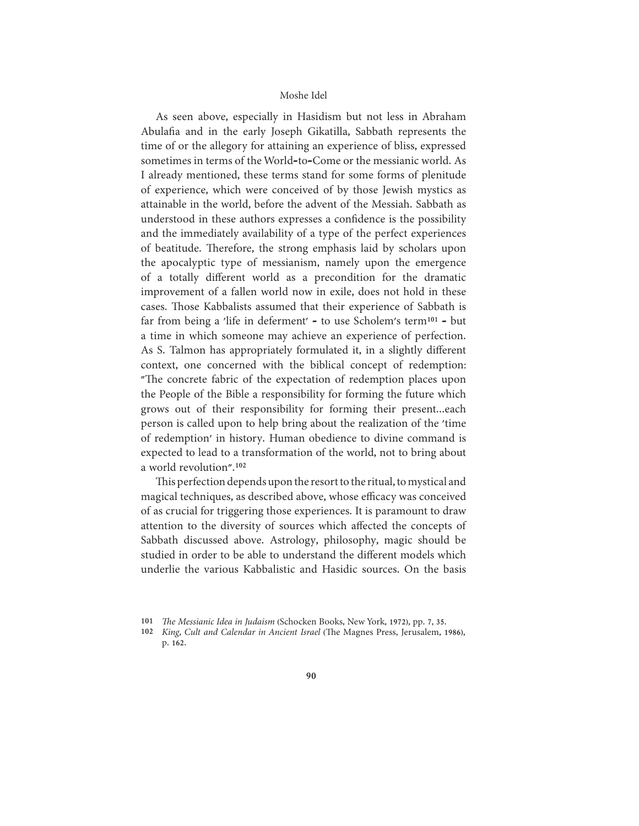As seen above, especially in Hasidism but not less in Abraham Abulafia and in the early Joseph Gikatilla, Sabbath represents the time of or the allegory for attaining an experience of bliss, expressed sometimes in terms of the World-to-Come or the messianic world. As I already mentioned, these terms stand for some forms of plenitude of experience, which were conceived of by those Jewish mystics as attainable in the world, before the advent of the Messiah. Sabbath as understood in these authors expresses a confidence is the possibility and the immediately availability of a type of the perfect experiences of beatitude. Therefore, the strong emphasis laid by scholars upon the apocalyptic type of messianism, namely upon the emergence of a totally different world as a precondition for the dramatic improvement of a fallen world now in exile, does not hold in these cases. Those Kabbalists assumed that their experience of Sabbath is far from being a 'life in deferment' - to use Scholem's term<sup>101</sup> - but a time in which someone may achieve an experience of perfection. As S. Talmon has appropriately formulated it, in a slightly different context, one concerned with the biblical concept of redemption: "The concrete fabric of the expectation of redemption places upon the People of the Bible a responsibility for forming the future which grows out of their responsibility for forming their present...each person is called upon to help bring about the realization of the 'time of redemption' in history. Human obedience to divine command is expected to lead to a transformation of the world, not to bring about a world revolution".<sup>102</sup>

This perfection depends upon the resort to the ritual, to mystical and magical techniques, as described above, whose efficacy was conceived of as crucial for triggering those experiences. It is paramount to draw attention to the diversity of sources which affected the concepts of Sabbath discussed above. Astrology, philosophy, magic should be studied in order to be able to understand the different models which underlie the various Kabbalistic and Hasidic sources. On the basis

<sup>101</sup> The Messianic Idea in Judaism (Schocken Books, New York, 1972), pp. 7, 35.

<sup>102</sup> King, Cult and Calendar in Ancient Israel (The Magnes Press, Jerusalem, 1986), p. 162.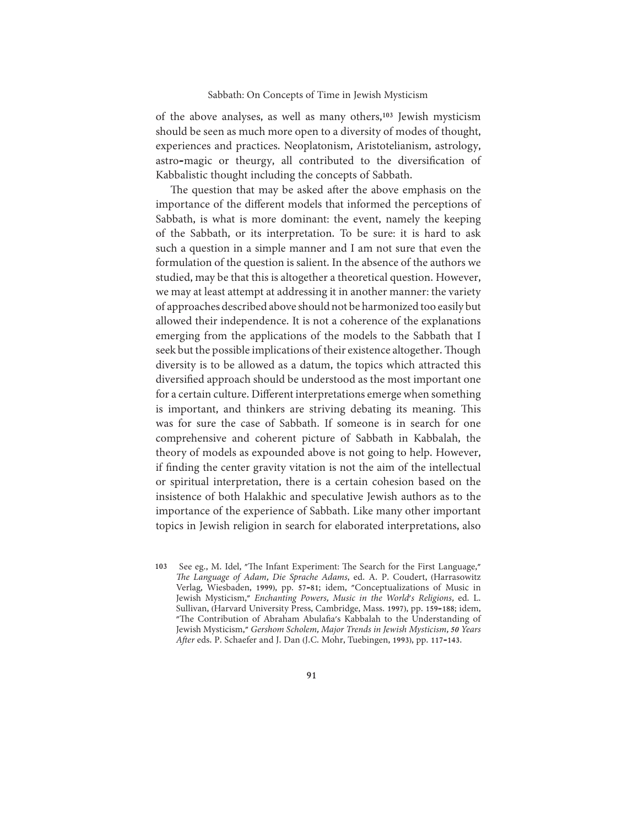of the above analyses, as well as many others,<sup>103</sup> Jewish mysticism should be seen as much more open to a diversity of modes of thought, experiences and practices. Neoplatonism, Aristotelianism, astrology, astro-magic or theurgy, all contributed to the diversification of Kabbalistic thought including the concepts of Sabbath.

The question that may be asked after the above emphasis on the importance of the different models that informed the perceptions of Sabbath, is what is more dominant: the event, namely the keeping of the Sabbath, or its interpretation. To be sure: it is hard to ask such a question in a simple manner and I am not sure that even the formulation of the question is salient. In the absence of the authors we studied, may be that this is altogether a theoretical question. However, we may at least attempt at addressing it in another manner: the variety of approaches described above should not be harmonized too easily but allowed their independence. It is not a coherence of the explanations emerging from the applications of the models to the Sabbath that I seek but the possible implications of their existence altogether. Though diversity is to be allowed as a datum, the topics which attracted this diversified approach should be understood as the most important one for a certain culture. Different interpretations emerge when something is important, and thinkers are striving debating its meaning. This was for sure the case of Sabbath. If someone is in search for one comprehensive and coherent picture of Sabbath in Kabbalah, the theory of models as expounded above is not going to help. However, if finding the center gravity vitation is not the aim of the intellectual or spiritual interpretation, there is a certain cohesion based on the insistence of both Halakhic and speculative Jewish authors as to the importance of the experience of Sabbath. Like many other important topics in Jewish religion in search for elaborated interpretations, also

<sup>103</sup> See eg., M. Idel, "The Infant Experiment: The Search for the First Language," The Language of Adam, Die Sprache Adams, ed. A. P. Coudert, (Harrasowitz Verlag, Wiesbaden, 1999), pp. 57-81; idem, "Conceptualizations of Music in Jewish Mysticism," Enchanting Powers, Music in the World's Religions, ed. L. Sullivan, (Harvard University Press, Cambridge, Mass. 1997), pp. 159-188; idem, "The Contribution of Abraham Abulafia's Kabbalah to the Understanding of Jewish Mysticism," Gershom Scholem, Major Trends in Jewish Mysticism, 50 Years After eds. P. Schaefer and J. Dan (J.C. Mohr, Tuebingen, 1993), pp. 117-143.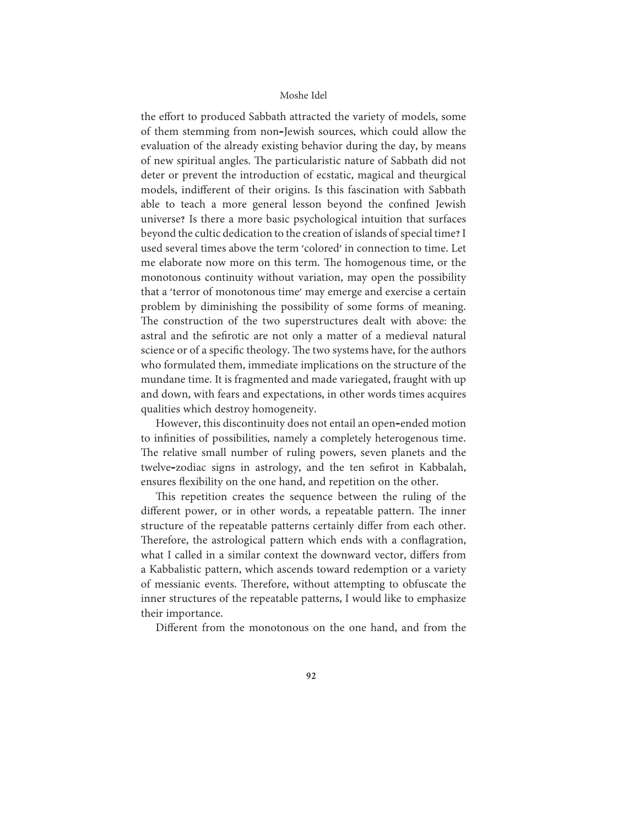the effort to produced Sabbath attracted the variety of models, some of them stemming from non-Jewish sources, which could allow the evaluation of the already existing behavior during the day, by means of new spiritual angles. The particularistic nature of Sabbath did not deter or prevent the introduction of ecstatic, magical and theurgical models, indifferent of their origins. Is this fascination with Sabbath able to teach a more general lesson beyond the confined Jewish universe? Is there a more basic psychological intuition that surfaces beyond the cultic dedication to the creation of islands of special time? I used several times above the term 'colored' in connection to time. Let me elaborate now more on this term. The homogenous time, or the monotonous continuity without variation, may open the possibility that a 'terror of monotonous time' may emerge and exercise a certain problem by diminishing the possibility of some forms of meaning. The construction of the two superstructures dealt with above: the astral and the sefirotic are not only a matter of a medieval natural science or of a specific theology. The two systems have, for the authors who formulated them, immediate implications on the structure of the mundane time. It is fragmented and made variegated, fraught with up and down, with fears and expectations, in other words times acquires qualities which destroy homogeneity.

However, this discontinuity does not entail an open-ended motion to infinities of possibilities, namely a completely heterogenous time. The relative small number of ruling powers, seven planets and the twelve-zodiac signs in astrology, and the ten sefirot in Kabbalah, ensures flexibility on the one hand, and repetition on the other.

This repetition creates the sequence between the ruling of the different power, or in other words, a repeatable pattern. The inner structure of the repeatable patterns certainly differ from each other. Therefore, the astrological pattern which ends with a conflagration, what I called in a similar context the downward vector, differs from a Kabbalistic pattern, which ascends toward redemption or a variety of messianic events. Therefore, without attempting to obfuscate the inner structures of the repeatable patterns, I would like to emphasize their importance.

Different from the monotonous on the one hand, and from the